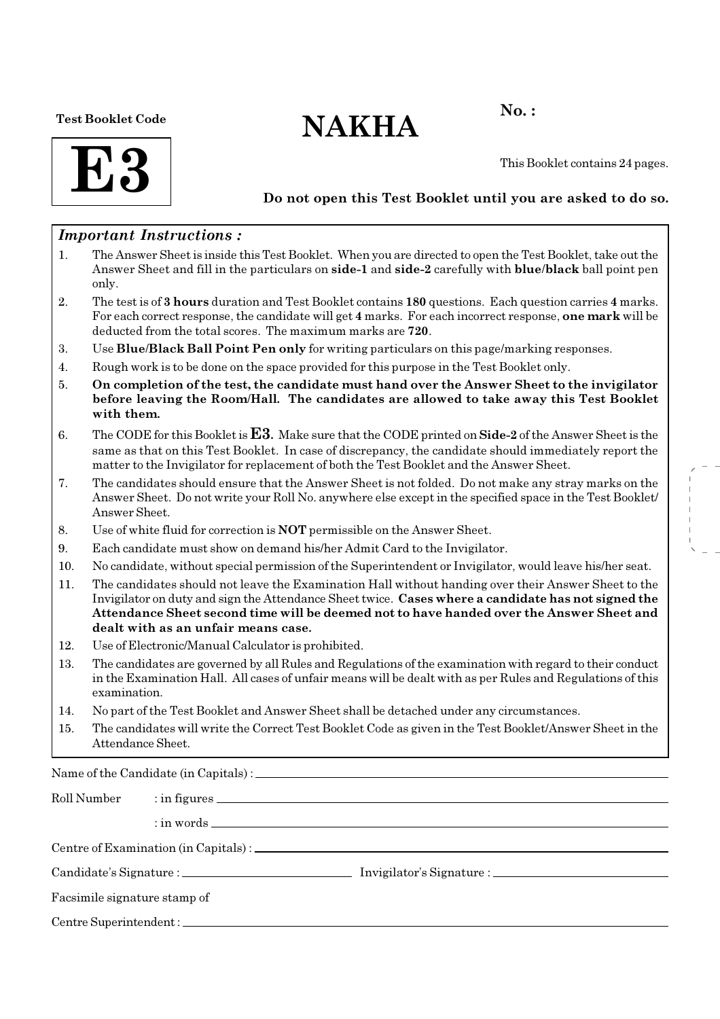Test Booklet Code

# $NAKHA$ <sup>No.:</sup>

**F3** 

This Booklet contains 24 pages.

# Do not open this Test Booklet until you are asked to do so.

# Important Instructions :

- 1. The Answer Sheet is inside this Test Booklet. When you are directed to open the Test Booklet, take out the Answer Sheet and fill in the particulars on side-1 and side-2 carefully with blue/black ball point pen only.
- 2. The test is of 3 hours duration and Test Booklet contains 180 questions. Each question carries 4 marks. For each correct response, the candidate will get 4 marks. For each incorrect response, one mark will be deducted from the total scores. The maximum marks are 720.
- 3. Use Blue/Black Ball Point Pen only for writing particulars on this page/marking responses.
- 4. Rough work is to be done on the space provided for this purpose in the Test Booklet only.
- 5. On completion of the test, the candidate must hand over the Answer Sheet to the invigilator before leaving the Room/Hall. The candidates are allowed to take away this Test Booklet with them.
- 6. The CODE for this Booklet is **. Make sure that the CODE printed on <b>Side-2** of the Answer Sheet is the same as that on this Test Booklet. In case of discrepancy, the candidate should immediately report the matter to the Invigilator for replacement of both the Test Booklet and the Answer Sheet.
- 7. The candidates should ensure that the Answer Sheet is not folded. Do not make any stray marks on the Answer Sheet. Do not write your Roll No. anywhere else except in the specified space in the Test Booklet/ Answer Sheet.
- 8. Use of white fluid for correction is NOT permissible on the Answer Sheet.
- 9. Each candidate must show on demand his/her Admit Card to the Invigilator.
- 10. No candidate, without special permission of the Superintendent or Invigilator, would leave his/her seat.
- 11. The candidates should not leave the Examination Hall without handing over their Answer Sheet to the Invigilator on duty and sign the Attendance Sheet twice. Cases where a candidate has not signed the Attendance Sheet second time will be deemed not to have handed over the Answer Sheet and dealt with as an unfair means case.
- 12. Use of Electronic/Manual Calculator is prohibited.
- 13. The candidates are governed by all Rules and Regulations of the examination with regard to their conduct in the Examination Hall. All cases of unfair means will be dealt with as per Rules and Regulations of this examination.
- 14. No part of the Test Booklet and Answer Sheet shall be detached under any circumstances.
- 15. The candidates will write the Correct Test Booklet Code as given in the Test Booklet/Answer Sheet in the Attendance Sheet.

Name of the Candidate (in Capitals) :

| Roll Number                  |                        |                                       |  |
|------------------------------|------------------------|---------------------------------------|--|
|                              |                        | $\therefore$ in words $\qquad \qquad$ |  |
|                              |                        |                                       |  |
|                              |                        |                                       |  |
| Facsimile signature stamp of |                        |                                       |  |
|                              | Centre Superintendent: |                                       |  |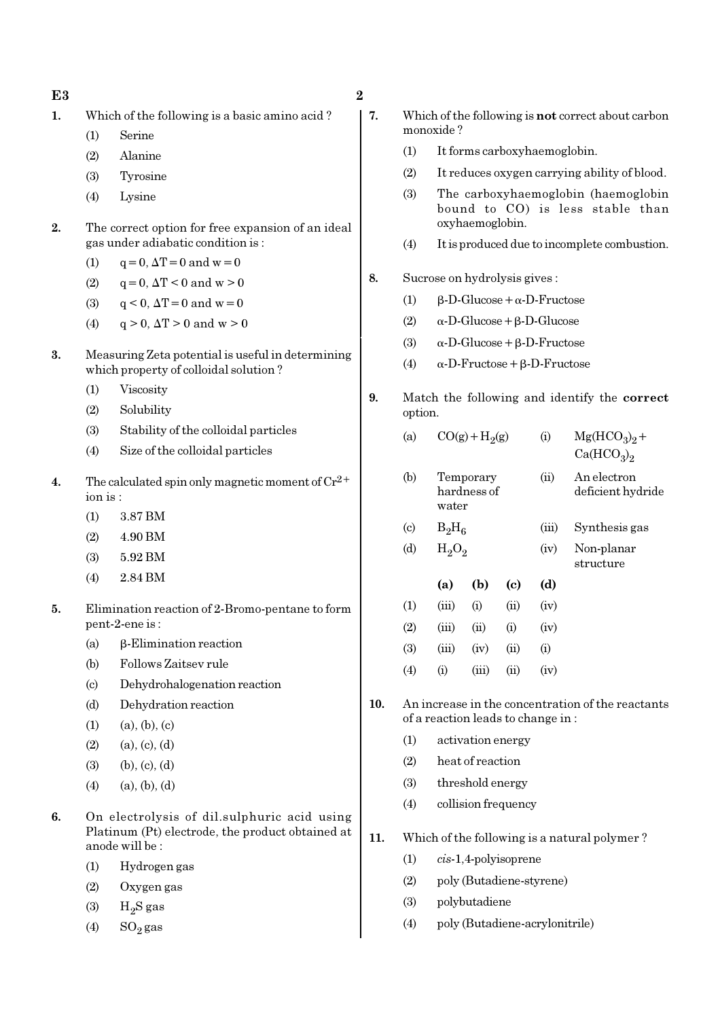- 1. Which of the following is a basic amino acid ?
	- (1) Serine
	- (2) Alanine
	- (3) Tyrosine
	- (4) Lysine
- 2. The correct option for free expansion of an ideal gas under adiabatic condition is :
	- (1)  $q = 0, \Delta T = 0$  and  $w = 0$
	- (2)  $q = 0$ ,  $\Delta T < 0$  and  $w > 0$
	- (3)  $q < 0$ ,  $\Delta T = 0$  and  $w = 0$
	- (4)  $q > 0$ ,  $\Delta T > 0$  and  $w > 0$
- 3. Measuring Zeta potential is useful in determining which property of colloidal solution ?
	- (1) Viscosity
	- (2) Solubility
	- (3) Stability of the colloidal particles
	- (4) Size of the colloidal particles
- 4. The calculated spin only magnetic moment of  $Cr^{2+}$ ion is :
	- (1) 3.87 BM
	- (2) 4.90 BM
	- (3) 5.92 BM
	- (4) 2.84 BM
- 5. Elimination reaction of 2-Bromo-pentane to form pent-2-ene is :
	- (a) β-Elimination reaction
	- (b) Follows Zaitsev rule
	- (c) Dehydrohalogenation reaction
	- (d) Dehydration reaction
	- $(1)$   $(a), (b), (c)$
	- $(2)$   $(a), (c), (d)$
	- (3) (b), (c), (d)
	- $(4)$   $(a), (b), (d)$
- 6. On electrolysis of dil.sulphuric acid using Platinum (Pt) electrode, the product obtained at anode will be :
	- (1) Hydrogen gas
	- (2) Oxygen gas
	- $(3)$  H<sub>2</sub>S gas
	- (4)  $SO_2$  gas
- 7. Which of the following is not correct about carbon monoxide ?
	- (1) It forms carboxyhaemoglobin.
	- (2) It reduces oxygen carrying ability of blood.
	- (3) The carboxyhaemoglobin (haemoglobin bound to CO) is less stable than oxyhaemoglobin.
	- (4) It is produced due to incomplete combustion.
- 8. Sucrose on hydrolysis gives :
	- (1)  $\beta$ -D-Glucose +  $\alpha$ -D-Fructose
	- (2) α-D-Glucose+β-D-Glucose
	- (3)  $\alpha$ -D-Glucose + β-D-Fructose
	- (4)  $\alpha$ -D-Fructose + β-D-Fructose
- 9. Match the following and identify the correct option.

| (d)                        | $H_2O_2$                          | (iv)     | Non-planar<br>structure                             |  |  |  |
|----------------------------|-----------------------------------|----------|-----------------------------------------------------|--|--|--|
| $\left( \mathrm{c}\right)$ | $B_2H_6$                          | (iii)    | Synthesis gas                                       |  |  |  |
| (b)                        | Temporary<br>hardness of<br>water | (ii)     | An electron<br>deficient hydride                    |  |  |  |
| (a)                        | $CO(g) + H2(g)$                   | $\rm(i)$ | $Mg(HCO3)2 +$<br>Ca(HCO <sub>3</sub> ) <sub>2</sub> |  |  |  |

| (1)               | (iii)        | $\rm (i)$ | $\overline{u}$ | (iv)     |
|-------------------|--------------|-----------|----------------|----------|
| (2)               | (iii)        | (ii)      | $\rm (i)$      | (iv)     |
| (3)               | (iii)        | (iv)      | (ii)           | $\rm(i)$ |
| $\left( 4\right)$ | $\rm _{(1)}$ | (iii)     | (11)           | (iv)     |

- 10. An increase in the concentration of the reactants of a reaction leads to change in :
	- (1) activation energy
	- (2) heat of reaction
	- (3) threshold energy
	- (4) collision frequency
- 11. Which of the following is a natural polymer ?
	- (1) cis-1,4-polyisoprene
	- (2) poly (Butadiene-styrene)
	- (3) polybutadiene
	- (4) poly (Butadiene-acrylonitrile)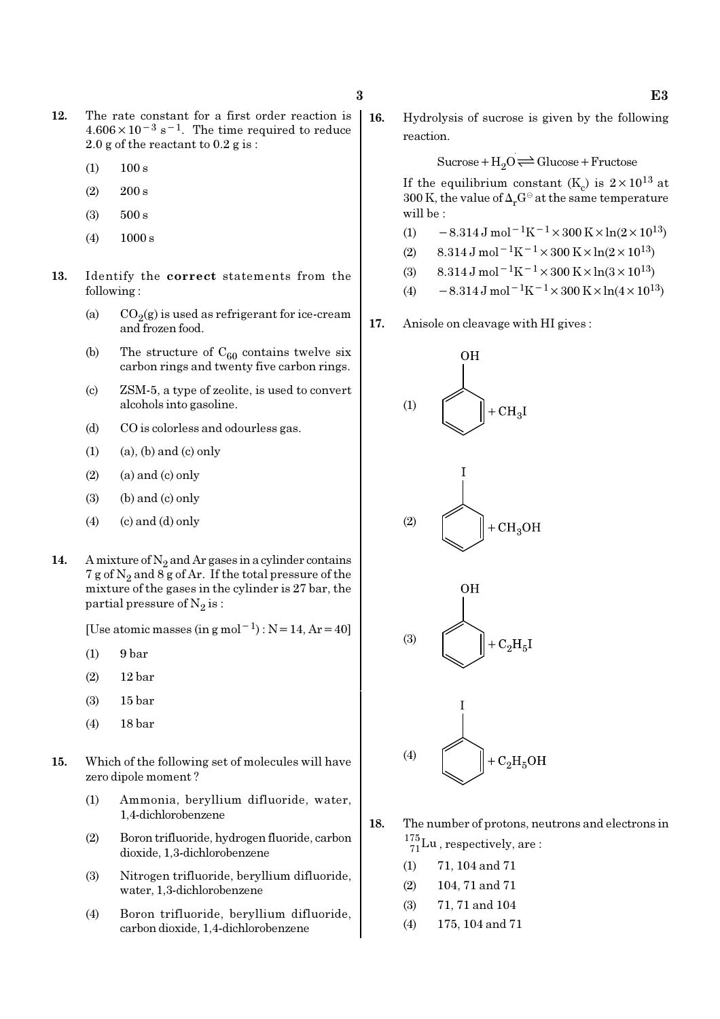- 12. The rate constant for a first order reaction is  $4.606 \times 10^{-3}$  s<sup>-1</sup>. The time required to reduce 2.0 g of the reactant to 0.2 g is :
	- $(1)$  100 s
	- $(2)$  200 s
	- (3) 500 s
	- (4) 1000 s
- 13. Identify the correct statements from the following :
	- (a)  $CO_2(g)$  is used as refrigerant for ice-cream and frozen food.
	- (b) The structure of  $C_{60}$  contains twelve six carbon rings and twenty five carbon rings.
	- (c) ZSM-5, a type of zeolite, is used to convert alcohols into gasoline.
	- (d) CO is colorless and odourless gas.
	- $(1)$   $(a)$ ,  $(b)$  and  $(c)$  only
	- $(2)$  (a) and (c) only
	- $(3)$  (b) and  $(c)$  only
	- $(4)$  (c) and  $(d)$  only
- 14. A mixture of  $N_2$  and Ar gases in a cylinder contains 7 g of  $\mathrm{N}_2$  and 8 g of Ar. If the total pressure of the mixture of the gases in the cylinder is 27 bar, the partial pressure of  $\mathrm{N}_2 \, \mathrm{is}$  :

[Use atomic masses (in g mol<sup>-1</sup>) : N = 14, Ar = 40]

- (1) 9 bar
- (2) 12 bar
- (3) 15 bar
- (4) 18 bar
- 15. Which of the following set of molecules will have zero dipole moment ?
	- (1) Ammonia, beryllium difluoride, water, 1,4-dichlorobenzene
	- (2) Boron trifluoride, hydrogen fluoride, carbon dioxide, 1,3-dichlorobenzene
	- (3) Nitrogen trifluoride, beryllium difluoride, water, 1,3-dichlorobenzene
	- (4) Boron trifluoride, beryllium difluoride, carbon dioxide, 1,4-dichlorobenzene

16. Hydrolysis of sucrose is given by the following reaction.

 $Sucrose+H_2O \rightleftharpoons Glucose+Fructose$ 

If the equilibrium constant (K<sub>c</sub>) is  $2 \times 10^{13}$  at 300 K, the value of  $\Delta_r G^\ominus$  at the same temperature will be :

- (1)  $-8.314 \,\mathrm{J} \,\mathrm{mol}^{-1} \mathrm{K}^{-1} \times 300 \,\mathrm{K} \times \ln(2 \times 10^{13})$
- (2) 8.314 J mol<sup>-1</sup>K<sup>-1</sup> × 300 K × ln(2 × 10<sup>13</sup>)
- (3)  $8.314 \text{ J mol}^{-1}\text{K}^{-1} \times 300 \text{ K} \times \ln(3 \times 10^{13})$
- (4)  $-8.314 \text{ J mol}^{-1} \text{K}^{-1} \times 300 \text{ K} \times \ln(4 \times 10^{13})$
- 17. Anisole on cleavage with HI gives :



- 18. The number of protons, neutrons and electrons in  $^{175}_{71}$ Lu, respectively, are:
	- (1) 71, 104 and 71
	- (2) 104, 71 and 71
	- (3) 71, 71 and 104
	- (4) 175, 104 and 71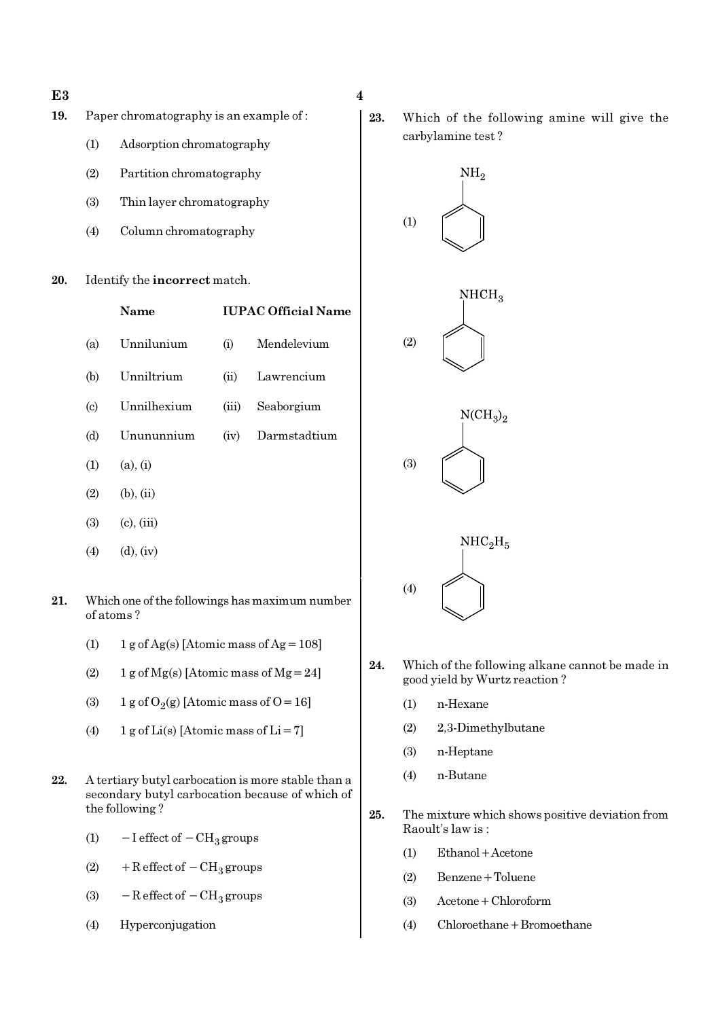- $E3 \hspace{2.5cm} 4$
- 19. Paper chromatography is an example of :
	- (1) Adsorption chromatography
	- (2) Partition chromatography
	- (3) Thin layer chromatography
	- (4) Column chromatography
- 20. Identify the incorrect match.

|     | Name            |       | <b>IUPAC Official Name</b> |  |  |  |  |  |
|-----|-----------------|-------|----------------------------|--|--|--|--|--|
| (a) | Unnilunium      | (i)   | Mendelevium                |  |  |  |  |  |
| (b) | Unniltrium      |       | (ii) Lawrencium            |  |  |  |  |  |
| (c) | Unnilhexium     | (iii) | Seaborgium                 |  |  |  |  |  |
| (d) | Unununnium      | (iv)  | Darmstadtium               |  |  |  |  |  |
| (1) | (a), (i)        |       |                            |  |  |  |  |  |
| (2) | $(b)$ , $(ii)$  |       |                            |  |  |  |  |  |
| (3) | $(c)$ , $(iii)$ |       |                            |  |  |  |  |  |
| (4) | $(d)$ , $(iv)$  |       |                            |  |  |  |  |  |

- 21. Which one of the followings has maximum number of atoms ?
	- (1)  $1 g \text{ of } Ag(s)$  [Atomic mass of Ag = 108]
	- (2) 1 g of  $Mg(s)$  [Atomic mass of  $Mg = 24$ ]
	- (3) 1 g of  $O_2(g)$  [Atomic mass of O = 16]
	- (4) 1 g of Li(s) [Atomic mass of Li = 7]
- 22. A tertiary butyl carbocation is more stable than a secondary butyl carbocation because of which of the following ?
	- (1)  $-I$  effect of  $-CH_3$  groups
	- (2) + R effect of  $-CH_3$  groups
	- (3)  $-$  R effect of  $-$  CH<sub>3</sub> groups
	- (4) Hyperconjugation

23. Which of the following amine will give the carbylamine test ?



- 24. Which of the following alkane cannot be made in good yield by Wurtz reaction ?
	- (1) n-Hexane
	- (2) 2,3-Dimethylbutane
	- (3) n-Heptane
	- (4) n-Butane
- 25. The mixture which shows positive deviation from Raoult's law is :
	- (1) Ethanol+Acetone
	- (2) Benzene+Toluene
	- (3) Acetone+Chloroform
	- (4) Chloroethane+Bromoethane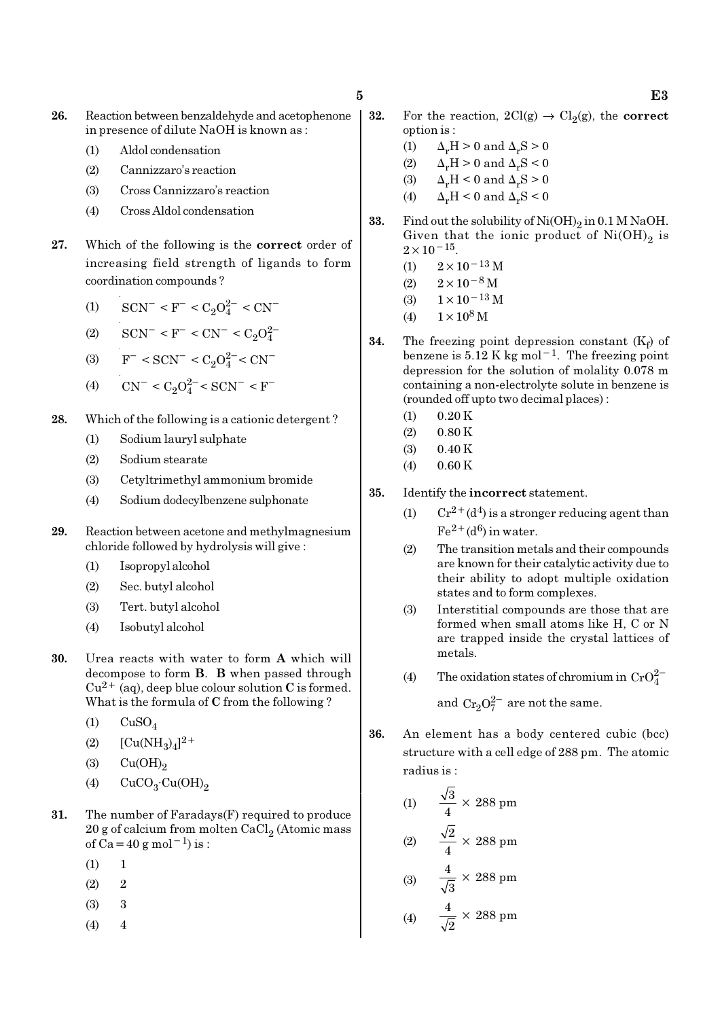- 26. Reaction between benzaldehyde and acetophenone in presence of dilute NaOH is known as :
	- (1) Aldol condensation
	- (2) Cannizzaro's reaction
	- (3) Cross Cannizzaro's reaction
	- (4) Cross Aldol condensation
- 27. Which of the following is the correct order of increasing field strength of ligands to form coordination compounds ?
	- (1)  $\text{SCN}^-$  < F<sup>-</sup> < C<sub>2</sub>O<sub>4</sub><sup>2</sup><sup>-</sup> < CN<sup>-</sup>
	- (2)  $\text{SCN}^-$  < F<sup>-</sup> < CN<sup>-</sup> < C<sub>2</sub>O<sub>4</sub><sup>2</sup>
	- (3)  $F^- < \text{SCN}^- < C_2 O_4^{2-} < \text{CN}^-$
	- (4)  $\text{CN}^- \leq C_2 O_4^{2-} \leq \text{SCN}^- \leq \text{F}^-$
- 28. Which of the following is a cationic detergent ?
	- (1) Sodium lauryl sulphate
	- (2) Sodium stearate
	- (3) Cetyltrimethyl ammonium bromide
	- (4) Sodium dodecylbenzene sulphonate
- 29. Reaction between acetone and methylmagnesium chloride followed by hydrolysis will give :
	- (1) Isopropyl alcohol
	- (2) Sec. butyl alcohol
	- (3) Tert. butyl alcohol
	- (4) Isobutyl alcohol
- 30. Urea reacts with water to form A which will decompose to form B. B when passed through  $Cu^{2+}$  (aq), deep blue colour solution C is formed. What is the formula of C from the following ?
	- $(1)$   $CuSO<sub>4</sub>$
	- (2)  $[Cu(NH_3)_4]^{2+}$
	- $\text{Cu(OH)}_{2}$
	- (4)  $CuCO<sub>3</sub>·Cu(OH)<sub>2</sub>$
- 31. The number of Faradays(F) required to produce  $20$  g of calcium from molten CaCl $_2$  (Atomic mass of Ca=40 g mol<sup>-1</sup>) is :
	- $(1) 1$
	- $(2)$  2
	- (3) 3
	- $(4)$  4
- **32.** For the reaction,  $2Cl(g) \rightarrow Cl_2(g)$ , the **correct** option is :
	- (1)  $\Delta_r H > 0$  and  $\Delta_r S > 0$
	- (2)  $\Delta_r H > 0$  and  $\Delta_r S < 0$
	- (3)  $\Delta_r H \leq 0$  and  $\Delta_r S \geq 0$
	- (4)  $\Delta_r H < 0$  and  $\Delta_r S < 0$
- **33.** Find out the solubility of  $Ni(OH)_2$  in 0.1 M NaOH. Given that the ionic product of  $\mathrm{Ni(OH)}_{2}$  is  $2 \times 10^{-15}$ .
	- $(1)$  2×10<sup>-13</sup> M
	- $(2)$  2×10<sup>-8</sup> M
	- (3)  $1 \times 10^{-13}$  M
	- (4)  $1 \times 10^8$  M
- **34.** The freezing point depression constant  $(K_f)$  of benzene is  $5.12 \text{ K}$  kg mol<sup>-1</sup>. The freezing point depression for the solution of molality 0.078 m containing a non-electrolyte solute in benzene is (rounded off upto two decimal places) :
	- $(1)$  0.20 K
	- $(2)$  0.80 K
	- (3) 0.40 K
	- (4) 0.60 K
- 35. Identify the incorrect statement.
	- (1)  $Cr^{2+}(d^4)$  is a stronger reducing agent than  $Fe^{2+}(d^6)$  in water.
	- (2) The transition metals and their compounds are known for their catalytic activity due to their ability to adopt multiple oxidation states and to form complexes.
	- (3) Interstitial compounds are those that are formed when small atoms like H, C or N are trapped inside the crystal lattices of metals.
	- (4) The oxidation states of chromium in  $CrO_4^{2-}$

and  $Cr_2O_7^{2-}$  are not the same.

- 36. An element has a body centered cubic (bcc) structure with a cell edge of 288 pm. The atomic radius is :
	- (1)  $\frac{\sqrt{3}}{4} \times 288 \text{ pm}$ (2)  $\frac{\sqrt{2}}{4} \times 288 \text{ pm}$ (3)  $\frac{4}{\sqrt{2}} \times 288 \text{ pm}$ 3
	- (4)  $\frac{4}{\sqrt{2}} \times 288 \text{ pm}$ 2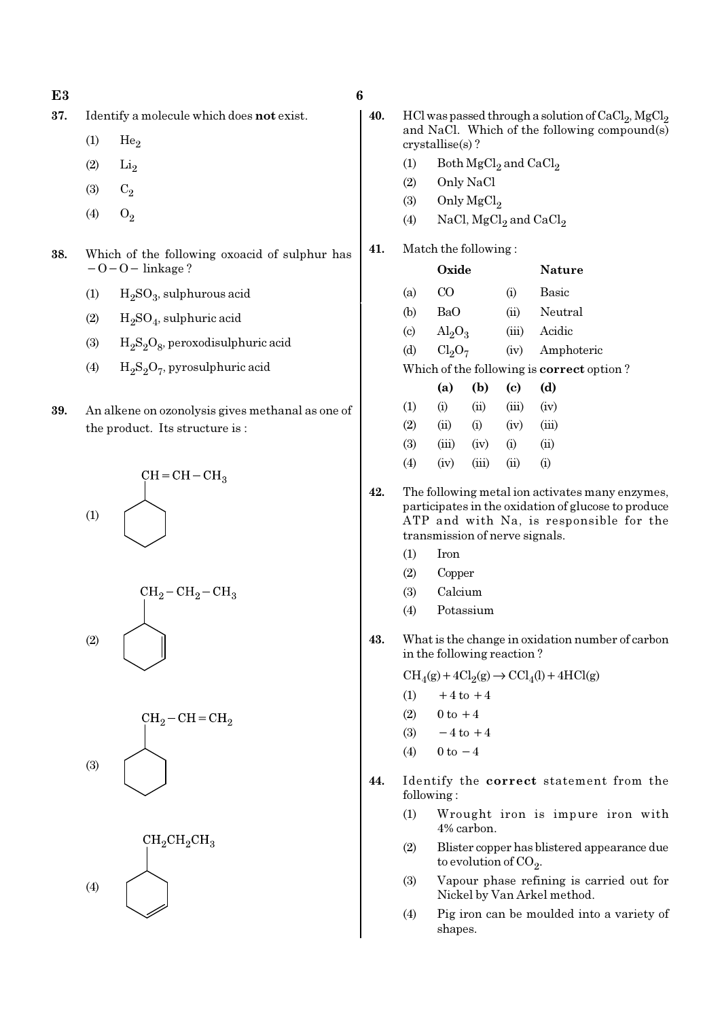- 37. Identify a molecule which does not exist.
	- $(1)$  He<sub>2</sub>
	- $(2)$   $Li<sub>2</sub>$
	- (3)  $C_2$
	- (4)  $O_2$
- 38. Which of the following oxoacid of sulphur has −O−O− linkage ?
	- (1)  $H_2SO_3$ , sulphurous acid
	- (2)  $H_2SO_4$ , sulphuric acid
	- (3)  $H_2S_2O_8$ , peroxodisulphuric acid
	- (4)  $H_2S_2O_7$ , pyrosulphuric acid
- 39. An alkene on ozonolysis gives methanal as one of the product. Its structure is :









| 40. |                            |                                | HCl was passed through a solution of $CaCl2$ , MgCl <sub>2</sub><br>and NaCl. Which of the following compound(s)<br>$crystalise(s)$ ? |                |                                                                                                                                                   |  |  |  |  |  |  |
|-----|----------------------------|--------------------------------|---------------------------------------------------------------------------------------------------------------------------------------|----------------|---------------------------------------------------------------------------------------------------------------------------------------------------|--|--|--|--|--|--|
|     | (1)                        |                                | Both $MgCl2$ and $CaCl2$                                                                                                              |                |                                                                                                                                                   |  |  |  |  |  |  |
|     | (2)                        |                                | Only NaCl                                                                                                                             |                |                                                                                                                                                   |  |  |  |  |  |  |
|     |                            |                                | (3) Only $MgCl2$                                                                                                                      |                |                                                                                                                                                   |  |  |  |  |  |  |
|     | (4)                        |                                |                                                                                                                                       |                | NaCl, $MgCl2$ and $CaCl2$                                                                                                                         |  |  |  |  |  |  |
| 41. |                            | Match the following:           |                                                                                                                                       |                |                                                                                                                                                   |  |  |  |  |  |  |
|     |                            | Oxide                          |                                                                                                                                       |                | Nature                                                                                                                                            |  |  |  |  |  |  |
|     | (a)                        | $\rm CO$                       |                                                                                                                                       | (i)            | Basic                                                                                                                                             |  |  |  |  |  |  |
|     | (b)                        | BaO                            |                                                                                                                                       |                | (ii) Neutral                                                                                                                                      |  |  |  |  |  |  |
|     | $\left( \mathrm{c}\right)$ | $\text{Al}_2\text{O}_3$        |                                                                                                                                       |                | (iii) Acidic                                                                                                                                      |  |  |  |  |  |  |
|     | (d)                        | Cl <sub>2</sub> O <sub>7</sub> |                                                                                                                                       |                | (iv) Amphoteric                                                                                                                                   |  |  |  |  |  |  |
|     |                            |                                |                                                                                                                                       |                | Which of the following is correct option?                                                                                                         |  |  |  |  |  |  |
|     |                            | (a)                            | (b)                                                                                                                                   | (c)            | (d)                                                                                                                                               |  |  |  |  |  |  |
|     | (1)                        | (i)                            | (ii)                                                                                                                                  | (iii)          | (iv)                                                                                                                                              |  |  |  |  |  |  |
|     | (2)                        | (ii)                           | (i)                                                                                                                                   | (iv)           | (iii)                                                                                                                                             |  |  |  |  |  |  |
|     | (3)                        |                                | $(iii)$ $(iv)$ $(i)$                                                                                                                  |                | (ii)                                                                                                                                              |  |  |  |  |  |  |
|     | (4)                        | (iv)                           |                                                                                                                                       | $(iii)$ $(ii)$ | (i)                                                                                                                                               |  |  |  |  |  |  |
| 42. |                            | transmission of nerve signals. |                                                                                                                                       |                | The following metal ion activates many enzymes,<br>participates in the oxidation of glucose to produce<br>ATP and with Na, is responsible for the |  |  |  |  |  |  |
|     | (1)                        | Iron                           |                                                                                                                                       |                |                                                                                                                                                   |  |  |  |  |  |  |
|     | (2)                        | Copper                         |                                                                                                                                       |                |                                                                                                                                                   |  |  |  |  |  |  |
|     | (3)                        | Calcium                        |                                                                                                                                       |                |                                                                                                                                                   |  |  |  |  |  |  |
|     | (4)                        |                                | Potassium                                                                                                                             |                |                                                                                                                                                   |  |  |  |  |  |  |
| 43. |                            | in the following reaction?     |                                                                                                                                       |                | What is the change in oxidation number of carbon                                                                                                  |  |  |  |  |  |  |
|     |                            |                                |                                                                                                                                       |                | $\text{CH}_4(g) + 4\text{Cl}_2(g) \rightarrow \text{CCl}_4(l) + 4\text{HCl}(g)$                                                                   |  |  |  |  |  |  |
|     | (1)                        |                                | $+4$ to $+4$                                                                                                                          |                |                                                                                                                                                   |  |  |  |  |  |  |
|     | (2)                        | $0$ to $+4$                    |                                                                                                                                       |                |                                                                                                                                                   |  |  |  |  |  |  |

- (3)  $-4$  to  $+4$
- (4)  $0 \text{ to } -4$
- 44. Identify the correct statement from the following :
	- (1) Wrought iron is impure iron with 4% carbon.
	- (2) Blister copper has blistered appearance due to evolution of CO<sub>2</sub>.
	- (3) Vapour phase refining is carried out for Nickel by Van Arkel method.
	- (4) Pig iron can be moulded into a variety of shapes.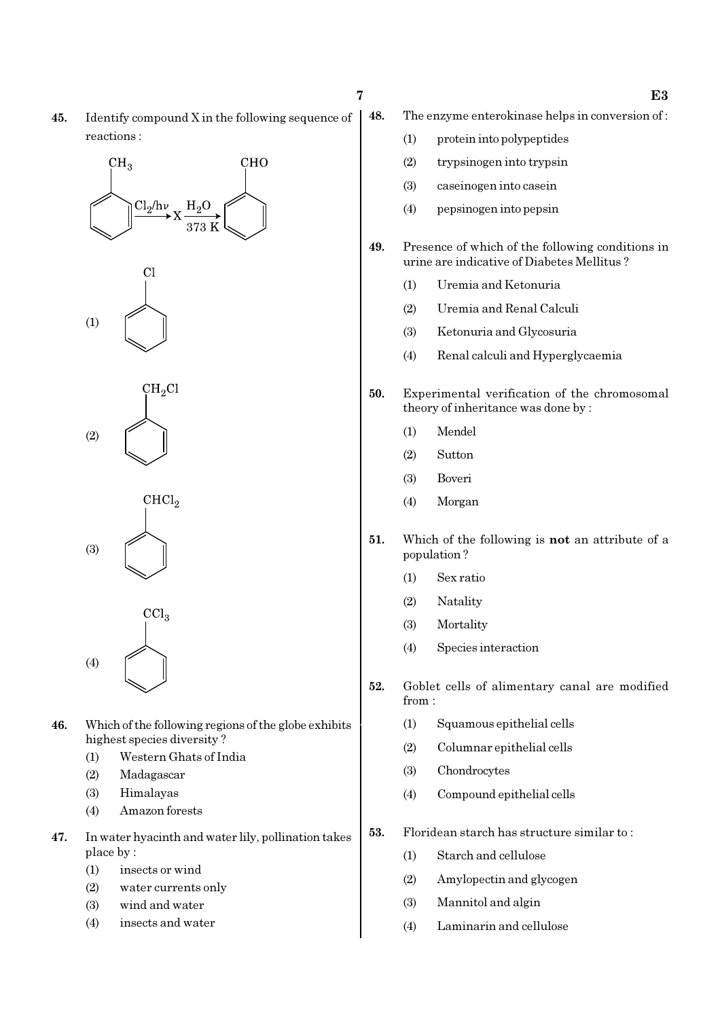45. Identify compound X in the following sequence of reactions :

# $CH<sub>3</sub>$ **CHO**  $Cl<sub>2</sub>/h\nu$  $H<sub>2</sub>$ O





 $CHCl<sub>2</sub>$ (3)

 $\overline{\text{CCl}_3}$ (4)

- 46. Which of the following regions of the globe exhibits highest species diversity ?
	- (1) Western Ghats of India
	- (2) Madagascar
	- (3) Himalayas
	- (4) Amazon forests
- 47. In water hyacinth and water lily, pollination takes place by :
	- (1) insects or wind
	- (2) water currents only
	- (3) wind and water
	- (4) insects and water
- 48. The enzyme enterokinase helps in conversion of :
	- (1) protein into polypeptides
	- (2) trypsinogen into trypsin
	- (3) caseinogen into casein
	- (4) pepsinogen into pepsin
- 49. Presence of which of the following conditions in urine are indicative of Diabetes Mellitus ?
	- (1) Uremia and Ketonuria
	- (2) Uremia and Renal Calculi
	- (3) Ketonuria and Glycosuria
	- (4) Renal calculi and Hyperglycaemia
- 50. Experimental verification of the chromosomal theory of inheritance was done by :
	- (1) Mendel
	- (2) Sutton
	- (3) Boveri
	- (4) Morgan
- 51. Which of the following is not an attribute of a population ?
	- (1) Sex ratio
	- (2) Natality
	- (3) Mortality
	- (4) Species interaction
- 52. Goblet cells of alimentary canal are modified from :
	- (1) Squamous epithelial cells
	- (2) Columnar epithelial cells
	- (3) Chondrocytes
	- (4) Compound epithelial cells
- 53. Floridean starch has structure similar to :
	- (1) Starch and cellulose
	- (2) Amylopectin and glycogen
	- (3) Mannitol and algin
	- (4) Laminarin and cellulose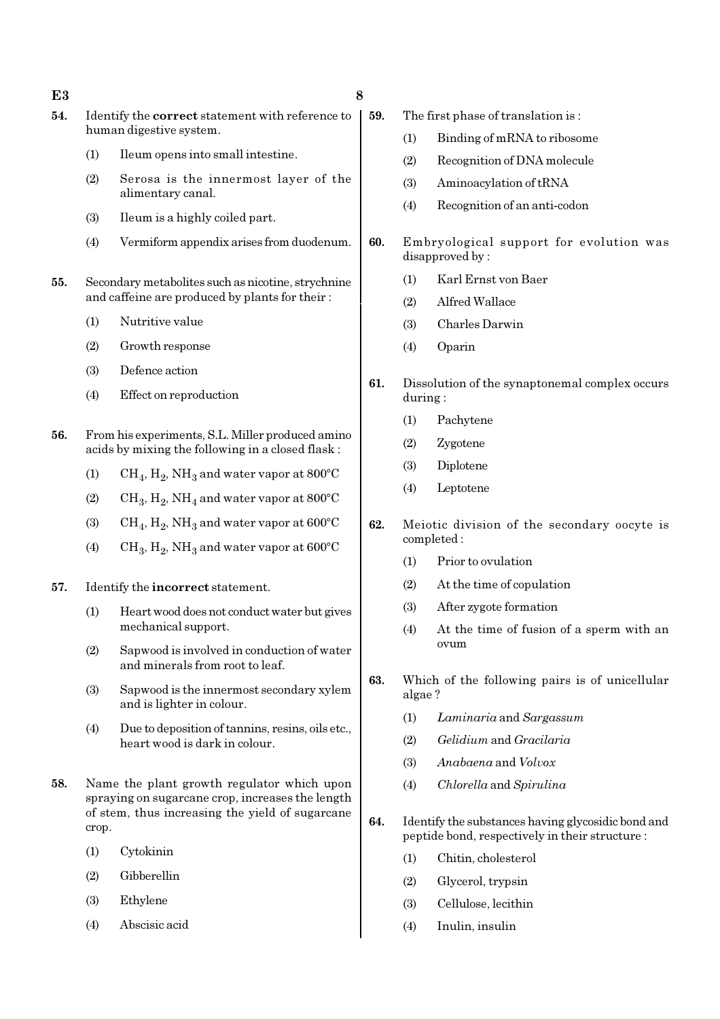- 54. Identify the correct statement with reference to human digestive system.
	- (1) Ileum opens into small intestine.
	- (2) Serosa is the innermost layer of the alimentary canal.
	- (3) Ileum is a highly coiled part.
	- (4) Vermiform appendix arises from duodenum.
- 55. Secondary metabolites such as nicotine, strychnine and caffeine are produced by plants for their :
	- (1) Nutritive value
	- (2) Growth response
	- (3) Defence action
	- (4) Effect on reproduction
- 56. From his experiments, S.L. Miller produced amino acids by mixing the following in a closed flask :
	- (1)  $\mathrm{CH}_4, \mathrm{H}_2, \mathrm{NH}_3$  and water vapor at 800°C
	- (2)  $\mathrm{CH}_3, \mathrm{H}_2, \mathrm{NH}_4$  and water vapor at 800°C
	- (3)  $\mathrm{CH}_4, \mathrm{H}_2, \mathrm{NH}_3$  and water vapor at 600°C
	- (4) CH<sub>3</sub>, H<sub>2</sub>, NH<sub>3</sub> and water vapor at  $600^{\circ}$ C
- 57. Identify the incorrect statement.
	- (1) Heart wood does not conduct water but gives mechanical support.
	- (2) Sapwood is involved in conduction of water and minerals from root to leaf.
	- (3) Sapwood is the innermost secondary xylem and is lighter in colour.
	- (4) Due to deposition of tannins, resins, oils etc., heart wood is dark in colour.
- 58. Name the plant growth regulator which upon spraying on sugarcane crop, increases the length of stem, thus increasing the yield of sugarcane crop.
	- (1) Cytokinin
	- (2) Gibberellin
	- (3) Ethylene
	- (4) Abscisic acid
- 59. The first phase of translation is :
	- (1) Binding of mRNA to ribosome
	- (2) Recognition of DNA molecule
	- (3) Aminoacylation of tRNA
	- (4) Recognition of an anti-codon
- 60. Embryological support for evolution was disapproved by :
	- (1) Karl Ernst von Baer
	- (2) Alfred Wallace
	- (3) Charles Darwin
	- (4) Oparin
- 61. Dissolution of the synaptonemal complex occurs during :
	- (1) Pachytene
	- (2) Zygotene
	- (3) Diplotene
	- (4) Leptotene
- 62. Meiotic division of the secondary oocyte is completed :
	- (1) Prior to ovulation
	- (2) At the time of copulation
	- (3) After zygote formation
	- (4) At the time of fusion of a sperm with an ovum
- 63. Which of the following pairs is of unicellular algae ?
	- (1) Laminaria and Sargassum
	- (2) Gelidium and Gracilaria
	- (3) Anabaena and Volvox
	- (4) Chlorella and Spirulina
- 64. Identify the substances having glycosidic bond and peptide bond, respectively in their structure :
	- (1) Chitin, cholesterol
	- (2) Glycerol, trypsin
	- (3) Cellulose, lecithin
	- (4) Inulin, insulin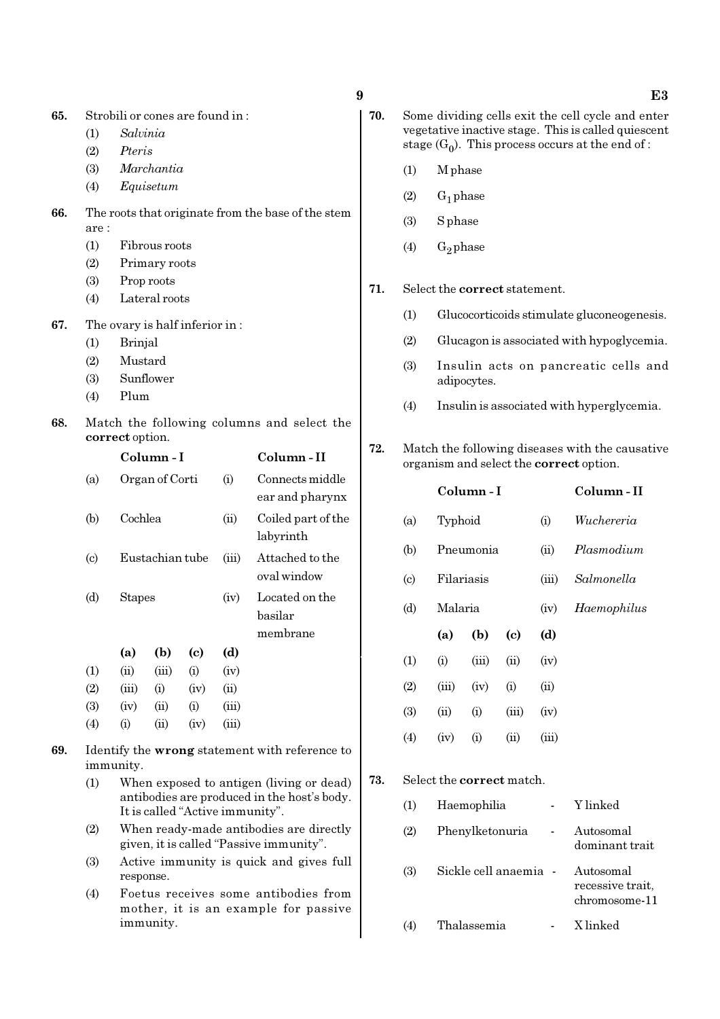- (1) Salvinia
- (2) Pteris
- (3) Marchantia
- (4) Equisetum
- 66. The roots that originate from the base of the stem are :
	- (1) Fibrous roots
	- (2) Primary roots
	- (3) Prop roots
	- (4) Lateral roots

67. The ovary is half inferior in :

- (1) Brinjal
- (2) Mustard
- (3) Sunflower
- (4) Plum
- 68. Match the following columns and select the correct option.

|                             |               | Column - I      |      |       | Column - II        |  |  |  |
|-----------------------------|---------------|-----------------|------|-------|--------------------|--|--|--|
| (a)                         |               | Organ of Corti  |      | (i)   | Connects middle    |  |  |  |
|                             |               |                 |      |       | ear and pharynx    |  |  |  |
| (b)                         | Cochlea       |                 |      | (ii)  | Coiled part of the |  |  |  |
|                             |               |                 |      |       | labyrinth          |  |  |  |
| $\left( \mathrm{c} \right)$ |               | Eustachian tube |      |       | Attached to the    |  |  |  |
|                             |               |                 |      |       | oval window        |  |  |  |
| (d)                         | <b>Stapes</b> |                 |      | (iv)  | Located on the     |  |  |  |
|                             |               |                 |      |       | basilar            |  |  |  |
|                             |               |                 |      |       | membrane           |  |  |  |
|                             | (a)           | (b)             | (c)  | (d)   |                    |  |  |  |
| (1)                         | (ii)          | (iii)           | (i)  | (iv)  |                    |  |  |  |
| (2)                         | (iii)         | (i)             | (iv) | (ii)  |                    |  |  |  |
| (3)                         | (iv)          | (ii)            | (i)  | (iii) |                    |  |  |  |
| (4)                         | (i)           | $\sin$          | (iv) | (iii) |                    |  |  |  |

- 69. Identify the wrong statement with reference to immunity.
	- (1) When exposed to antigen (living or dead) antibodies are produced in the host's body. It is called "Active immunity".
	- (2) When ready-made antibodies are directly given, it is called "Passive immunity".
	- (3) Active immunity is quick and gives full response.
	- (4) Foetus receives some antibodies from mother, it is an example for passive immunity.
- - 70. Some dividing cells exit the cell cycle and enter vegetative inactive stage. This is called quiescent stage  $(G_0)$ . This process occurs at the end of :
		- (1) M phase
		- $(2)$  G<sub>1</sub> phase
		- (3) S phase
		- (4)  $G_2$  phase
	- 71. Select the correct statement.
		- (1) Glucocorticoids stimulate gluconeogenesis.
		- (2) Glucagon is associated with hypoglycemia.
		- (3) Insulin acts on pancreatic cells and adipocytes.
		- (4) Insulin is associated with hyperglycemia.
	- 72. Match the following diseases with the causative organism and select the correct option.

|                           |         | Column - I | Column - II                |       |             |
|---------------------------|---------|------------|----------------------------|-------|-------------|
| (a)                       | Typhoid |            |                            | (i)   | Wuchereria  |
| (b)                       |         | Pneumonia  |                            | (ii)  | Plasmodium  |
| $\left( \text{c} \right)$ |         | Filariasis |                            |       | Salmonella  |
| (d)                       |         | Malaria    |                            |       | Haemophilus |
|                           |         |            |                            |       |             |
|                           | (a)     | (b)        | $\left( \mathrm{c}\right)$ | (d)   |             |
| (1)                       | (i)     | (iii)      | (ii)                       | (iv)  |             |
| (2)                       | (iii)   | (iv)       | (i)                        | (ii)  |             |
| (3)                       | (ii)    | (i)        | (iii)                      | (iv)  |             |
| (4)                       | (iv)    | (i)        | (ii)                       | (iii) |             |

#### 73. Select the correct match.

| (1) | Haemophilia           | Y linked                                       |
|-----|-----------------------|------------------------------------------------|
| (2) | Phenylketonuria       | Autosomal<br>dominant trait                    |
| (3) | Sickle cell anaemia - | Autosomal<br>recessive trait,<br>chromosome-11 |
| (4) | Thalassemia           | X linked                                       |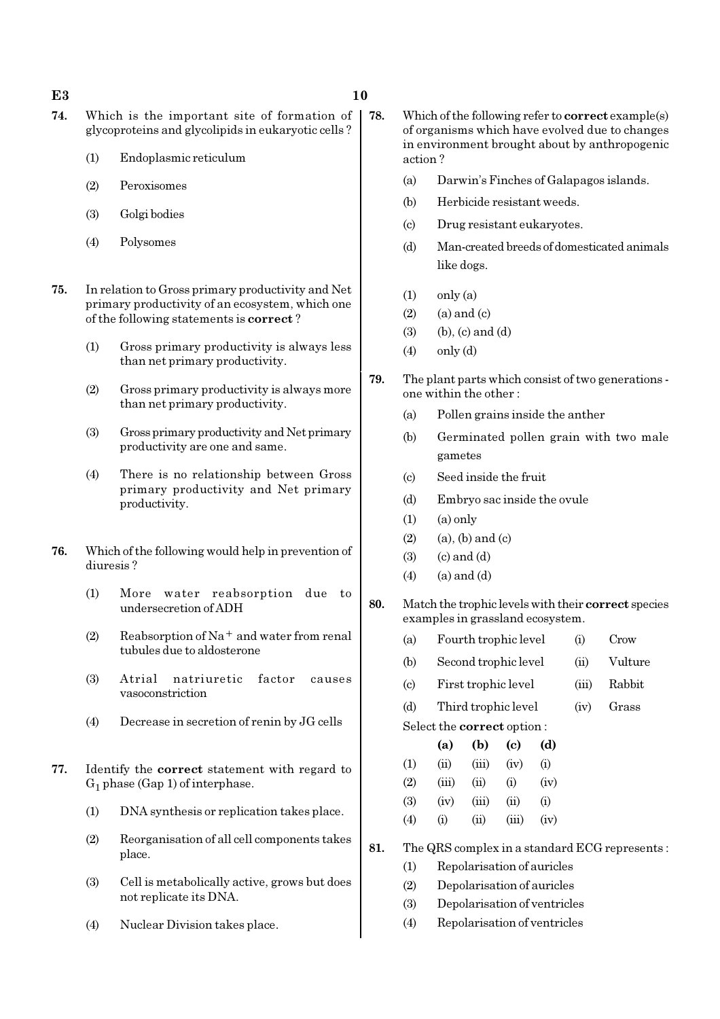#### $E3$  and  $10$

- 74. Which is the important site of formation of glycoproteins and glycolipids in eukaryotic cells ?
	- (1) Endoplasmic reticulum
	- (2) Peroxisomes
	- (3) Golgi bodies
	- (4) Polysomes
- 75. In relation to Gross primary productivity and Net primary productivity of an ecosystem, which one of the following statements is correct ?
	- (1) Gross primary productivity is always less than net primary productivity.
	- (2) Gross primary productivity is always more than net primary productivity.
	- (3) Gross primary productivity and Net primary productivity are one and same.
	- (4) There is no relationship between Gross primary productivity and Net primary productivity.
- 76. Which of the following would help in prevention of diuresis ?
	- (1) More water reabsorption due to undersecretion of ADH
	- (2) Reabsorption of Na<sup>+</sup> and water from renal tubules due to aldosterone
	- (3) Atrial natriuretic factor causes vasoconstriction
	- (4) Decrease in secretion of renin by JG cells
- 77. Identify the correct statement with regard to  $G_1$  phase (Gap 1) of interphase.
	- (1) DNA synthesis or replication takes place.
	- (2) Reorganisation of all cell components takes place.
	- (3) Cell is metabolically active, grows but does not replicate its DNA.
	- (4) Nuclear Division takes place.
- 78. Which of the following refer to correct example(s) of organisms which have evolved due to changes in environment brought about by anthropogenic action ?
	- (a) Darwin's Finches of Galapagos islands.
	- (b) Herbicide resistant weeds.
	- (c) Drug resistant eukaryotes.
	- (d) Man-created breeds of domesticated animals like dogs.
	- $(1)$  only  $(a)$
	- $(2)$  (a) and  $(c)$
	- $(3)$  (b),  $(c)$  and  $(d)$
	- (4) only (d)
- 79. The plant parts which consist of two generations one within the other :
	- (a) Pollen grains inside the anther
	- (b) Germinated pollen grain with two male gametes
	- (c) Seed inside the fruit
	- (d) Embryo sac inside the ovule
	- $(1)$   $(a)$  only
	- $(2)$   $(a)$ ,  $(b)$  and  $(c)$
	- $(3)$   $(2)$  and  $(d)$
	- $(4)$  (a) and  $(d)$
- 80. Match the trophic levels with their correct species examples in grassland ecosystem.
	- (a) Fourth trophic level (i) Crow
	- (b) Second trophic level (ii) Vulture
	- (c) First trophic level (iii) Rabbit
	- (d) Third trophic level (iv) Grass
	- Select the correct option :

|            | (a)   | (b)            | (c)  | (d)      |
|------------|-------|----------------|------|----------|
| $\rm(1)$   | (ii)  | (iii)          | (iv) | $\rm(i)$ |
| (2)        | (iii) | $\overline{u}$ | (i)  | (iv)     |
| <b>(3)</b> | (iv)  | (iii)          | (ii) | $\rm(i)$ |

- (4) (i) (ii) (iii) (iv)
- 81. The QRS complex in a standard ECG represents :
	- (1) Repolarisation of auricles
	- (2) Depolarisation of auricles
	- (3) Depolarisation of ventricles
	- (4) Repolarisation of ventricles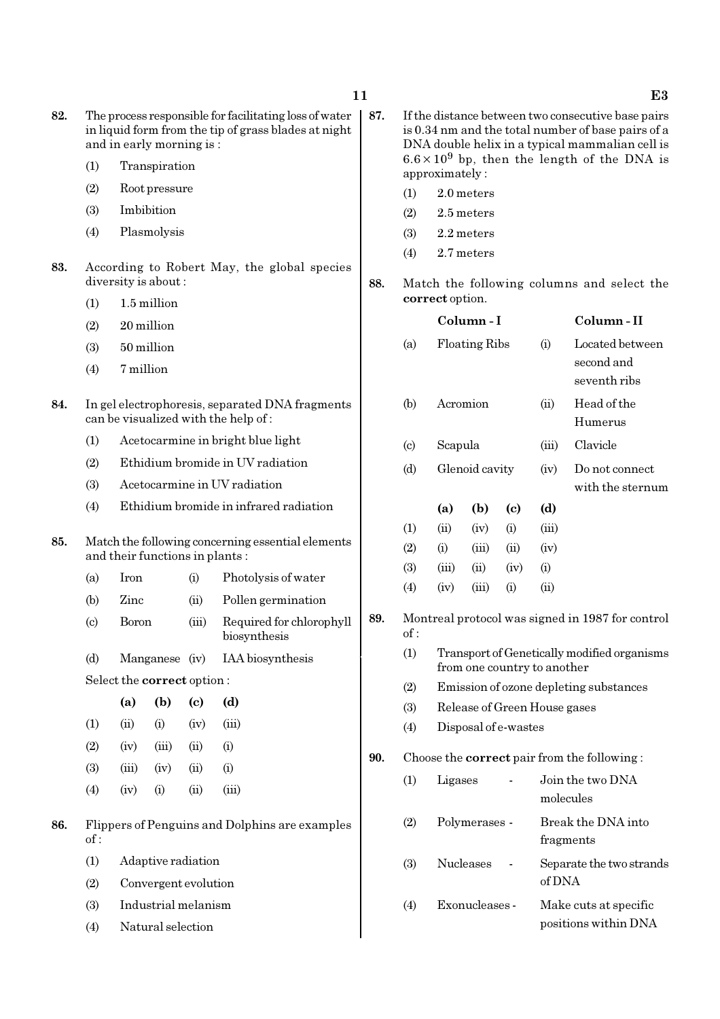- 82. The process responsible for facilitating loss of water in liquid form from the tip of grass blades at night and in early morning is :
	- (1) Transpiration
	- (2) Root pressure
	- (3) Imbibition
	- (4) Plasmolysis
- 83. According to Robert May, the global species diversity is about :
	- (1) 1.5 million
	- (2) 20 million
	- (3) 50 million
	- (4) 7 million
- 84. In gel electrophoresis, separated DNA fragments can be visualized with the help of :
	- (1) Acetocarmine in bright blue light
	- (2) Ethidium bromide in UV radiation
	- (3) Acetocarmine in UV radiation
	- (4) Ethidium bromide in infrared radiation

### 85. Match the following concerning essential elements and their functions in plants :

- (a) Iron (i) Photolysis of water
- (b) Zinc (ii) Pollen germination
- (c) Boron (iii) Required for chlorophyll biosynthesis
- (d) Manganese (iv) IAA biosynthesis

Select the correct option :

|                   | (a)   | (b)   | (c)  | (d)   |
|-------------------|-------|-------|------|-------|
| $\left(1\right)$  | (ii)  | (i)   | (iv) | (iii) |
| (2)               | (iv)  | (iii) | (ii) | (i)   |
| (3)               | (iii) | (iv)  | (ii) | (i)   |
| $\left( 4\right)$ | (iv)  | (i)   | (ii) | (iii) |

- 86. Flippers of Penguins and Dolphins are examples of :
	- (1) Adaptive radiation
	- (2) Convergent evolution
	- (3) Industrial melanism
	- (4) Natural selection
- 87. If the distance between two consecutive base pairs is 0.34 nm and the total number of base pairs of a DNA double helix in a typical mammalian cell is  $6.6 \times 10^9$  bp, then the length of the DNA is approximately :
	- (1) 2.0 meters
	- (2) 2.5 meters
	- (3) 2.2 meters
	- (4) 2.7 meters
- 88. Match the following columns and select the correct option.

|     |                             |         | Column-I             |                            | Column-II                    |                                                                                                                      |  |  |  |
|-----|-----------------------------|---------|----------------------|----------------------------|------------------------------|----------------------------------------------------------------------------------------------------------------------|--|--|--|
|     | (a)                         |         | <b>Floating Ribs</b> |                            | (i)                          | Located between<br>second and<br>seventh ribs                                                                        |  |  |  |
|     | (b)                         |         | Acromion             |                            |                              | Head of the<br>Humerus                                                                                               |  |  |  |
|     | $\left( \mathrm{c} \right)$ | Scapula |                      |                            | (iii)                        | Clavicle                                                                                                             |  |  |  |
|     | (d)                         |         | Glenoid cavity       |                            | (iv)                         | Do not connect<br>with the sternum                                                                                   |  |  |  |
|     |                             | (a)     | (b)                  | $\left( \mathrm{e}\right)$ | (d)                          |                                                                                                                      |  |  |  |
|     | (1)                         | (ii)    | (iv)                 | (i)                        | (iii)                        |                                                                                                                      |  |  |  |
|     | (2)                         | (i)     | (iii)                | (ii)                       | (iv)                         |                                                                                                                      |  |  |  |
|     | (3)                         | (iii)   | (ii)                 | (iv)                       | (i)                          |                                                                                                                      |  |  |  |
|     | (4)                         | (iv)    | (iii)                | (i)                        | (ii)                         |                                                                                                                      |  |  |  |
| 89. | of :                        |         |                      |                            |                              | Montreal protocol was signed in 1987 for control                                                                     |  |  |  |
|     | (1)                         |         |                      |                            |                              | Transport of Genetically modified organisms<br>from one country to another<br>Emission of ozone depleting substances |  |  |  |
|     | (2)                         |         |                      |                            |                              |                                                                                                                      |  |  |  |
|     | (3)                         |         |                      |                            | Release of Green House gases |                                                                                                                      |  |  |  |
|     | (4)                         |         | Disposal of e-wastes |                            |                              |                                                                                                                      |  |  |  |
| 90. |                             |         |                      |                            |                              | Choose the <b>correct</b> pair from the following:                                                                   |  |  |  |
|     | (1)                         | Ligases |                      |                            |                              | Join the two DNA<br>molecules                                                                                        |  |  |  |
|     | (2)                         |         | Polymerases -        |                            |                              | Break the DNA into<br>fragments                                                                                      |  |  |  |
|     | (3)                         |         | Nucleases            |                            | of DNA                       | Separate the two strands                                                                                             |  |  |  |
|     | (4)                         |         | Exonucleases -       |                            |                              | Make cuts at specific<br>positions within DNA                                                                        |  |  |  |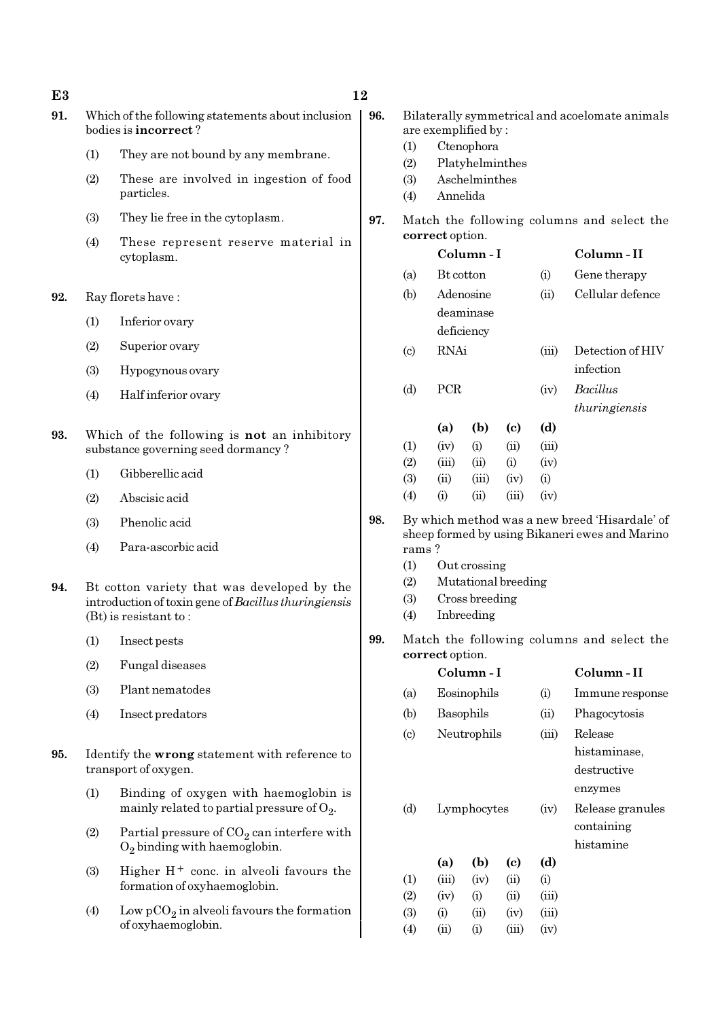| 91. |     | Which of the following statements about inclusion<br>bodies is incorrect?                                                                                                 | 96. | Bilaterally symmetrical and acoelomate animals<br>are exemplified by: |                                                                     |                       |                                            |                     |                                                |
|-----|-----|---------------------------------------------------------------------------------------------------------------------------------------------------------------------------|-----|-----------------------------------------------------------------------|---------------------------------------------------------------------|-----------------------|--------------------------------------------|---------------------|------------------------------------------------|
|     | (1) | They are not bound by any membrane.                                                                                                                                       |     | (1)<br>(2)                                                            | Ctenophora<br>Platyhelminthes                                       |                       |                                            |                     |                                                |
|     | (2) | These are involved in ingestion of food<br>particles.                                                                                                                     |     | (3)<br>(4)                                                            | Aschelminthes<br>Annelida                                           |                       |                                            |                     |                                                |
|     | (3) | They lie free in the cytoplasm.                                                                                                                                           | 97. |                                                                       |                                                                     |                       |                                            |                     | Match the following columns and select the     |
|     | (4) | These represent reserve material in                                                                                                                                       |     |                                                                       | correct option.                                                     |                       |                                            |                     | Column-II                                      |
|     |     | cytoplasm.                                                                                                                                                                |     | (a)                                                                   |                                                                     | Column-I<br>Bt cotton |                                            |                     | Gene therapy                                   |
| 92. |     | Ray florets have:                                                                                                                                                         |     | (b)                                                                   |                                                                     | Adenosine             |                                            | (i)<br>(ii)         | Cellular defence                               |
|     | (1) | Inferior ovary                                                                                                                                                            |     |                                                                       |                                                                     | deaminase             |                                            |                     |                                                |
|     | (2) | Superior ovary                                                                                                                                                            |     |                                                                       | <b>RNAi</b>                                                         | deficiency            |                                            | (iii)               | Detection of HIV                               |
|     | (3) | Hypogynous ovary                                                                                                                                                          |     | (c)                                                                   |                                                                     |                       |                                            |                     | infection                                      |
|     | (4) | Half inferior ovary                                                                                                                                                       |     | (d)                                                                   | PCR                                                                 |                       |                                            | (iv)                | <b>Bacillus</b><br>thuringiensis               |
| 93. |     | Which of the following is not an inhibitory                                                                                                                               |     |                                                                       | (a)                                                                 | (b)                   | $\left( \mathrm{c}\right)$                 | (d)                 |                                                |
|     |     | substance governing seed dormancy?                                                                                                                                        |     | (1)<br>(2)                                                            | (iv)<br>(iii)                                                       | (i)<br>(ii)           | (ii)<br>(i)                                | (iii)<br>(iv)       |                                                |
|     | (1) | Gibberellic acid                                                                                                                                                          |     | (3)                                                                   | (ii)                                                                | (iii)                 | (iv)                                       | (i)                 |                                                |
|     | (2) | Abscisic acid                                                                                                                                                             |     | (4)                                                                   | (i)                                                                 | (ii)                  | (iii)                                      | (iv)                |                                                |
|     | (3) | Phenolic acid                                                                                                                                                             | 98. |                                                                       |                                                                     |                       |                                            |                     | By which method was a new breed 'Hisardale' of |
|     | (4) | Para-ascorbic acid                                                                                                                                                        |     | sheep formed by using Bikaneri ewes and Marino<br>rams?               |                                                                     |                       |                                            |                     |                                                |
| 94. |     | Bt cotton variety that was developed by the<br>introduction of toxin gene of Bacillus thuringiensis<br>$(Bt)$ is resistant to:                                            |     | (1)<br>(2)<br>(3)<br>(4)                                              | Out crossing<br>Mutational breeding<br>Cross breeding<br>Inbreeding |                       |                                            |                     |                                                |
|     | (1) | Insect pests                                                                                                                                                              | 99. | Match the following columns and select the                            |                                                                     |                       |                                            |                     |                                                |
|     | (2) | Fungal diseases                                                                                                                                                           |     | correct option.<br>Column-I                                           |                                                                     |                       |                                            | Column-II           |                                                |
|     | (3) | Plant nematodes                                                                                                                                                           |     | (a)                                                                   | Eosinophils                                                         |                       |                                            | (i)                 | Immune response                                |
|     | (4) | Insect predators                                                                                                                                                          |     | (b)                                                                   |                                                                     | Basophils             |                                            | (ii)                | Phagocytosis                                   |
|     |     |                                                                                                                                                                           |     | (c)                                                                   |                                                                     | Neutrophils           |                                            | (iii)               | Release                                        |
| 95. |     | Identify the wrong statement with reference to<br>transport of oxygen.                                                                                                    |     |                                                                       |                                                                     |                       |                                            |                     | histaminase,<br>destructive                    |
|     | (1) | Binding of oxygen with haemoglobin is<br>mainly related to partial pressure of $O_2$ .<br>Partial pressure of $CO2$ can interfere with<br>$O_2$ binding with haemoglobin. |     | (d)                                                                   | Lymphocytes                                                         |                       |                                            | (iv)                | enzymes<br>Release granules                    |
|     | (2) |                                                                                                                                                                           |     |                                                                       |                                                                     |                       |                                            |                     | containing<br>histamine                        |
|     | (3) | Higher $H^+$ conc. in alveoli favours the<br>formation of oxyhaemoglobin.                                                                                                 |     | (1)<br>(2)                                                            | (a)<br>(iii)<br>(iv)                                                | (b)<br>(iv)<br>(i)    | $\left( \mathrm{c}\right)$<br>(ii)<br>(ii) | (d)<br>(i)<br>(iii) |                                                |
|     | (4) | Low $pCO_2$ in alveoli favours the formation<br>of oxyhaemoglobin.                                                                                                        |     | (3)<br>(4)                                                            | (i)<br>(ii)                                                         | (ii)<br>(i)           | (iv)<br>(iii)                              | (iii)<br>(iv)       |                                                |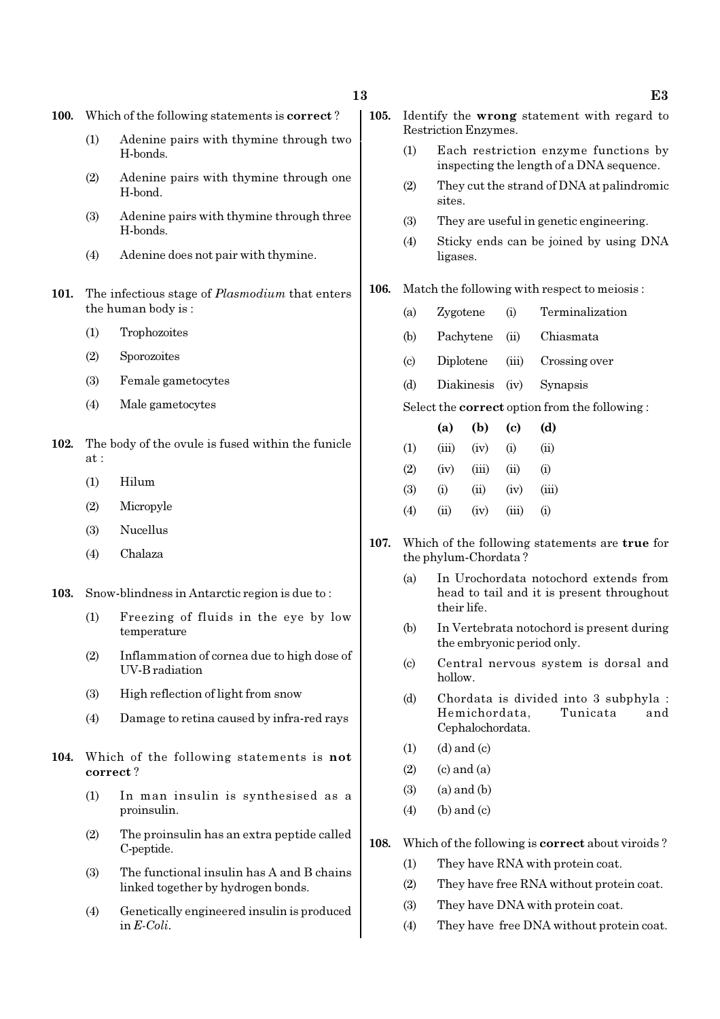- 100. Which of the following statements is correct ?
	- (1) Adenine pairs with thymine through two H-bonds.
	- (2) Adenine pairs with thymine through one H-bond.
	- (3) Adenine pairs with thymine through three H-bonds.
	- (4) Adenine does not pair with thymine.
- 101. The infectious stage of *Plasmodium* that enters the human body is :
	- (1) Trophozoites
	- (2) Sporozoites
	- (3) Female gametocytes
	- (4) Male gametocytes
- 102. The body of the ovule is fused within the funicle at :
	- (1) Hilum
	- (2) Micropyle
	- (3) Nucellus
	- (4) Chalaza
- 103. Snow-blindness in Antarctic region is due to :
	- (1) Freezing of fluids in the eye by low temperature
	- (2) Inflammation of cornea due to high dose of UV-B radiation
	- (3) High reflection of light from snow
	- (4) Damage to retina caused by infra-red rays
- 104. Which of the following statements is not correct ?
	- (1) In man insulin is synthesised as a proinsulin.
	- (2) The proinsulin has an extra peptide called C-peptide.
	- (3) The functional insulin has A and B chains linked together by hydrogen bonds.
	- (4) Genetically engineered insulin is produced in E-Coli.
- 105. Identify the wrong statement with regard to Restriction Enzymes.
	- (1) Each restriction enzyme functions by inspecting the length of a DNA sequence.
	- (2) They cut the strand of DNA at palindromic sites.
	- (3) They are useful in genetic engineering.
	- (4) Sticky ends can be joined by using DNA ligases.

#### 106. Match the following with respect to meiosis :

- (a) Zygotene (i) Terminalization
- (b) Pachytene (ii) Chiasmata
- (c) Diplotene (iii) Crossing over
- (d) Diakinesis (iv) Synapsis
- Select the correct option from the following :

|     | (a)       | (b)   | (c)   | (d)        |
|-----|-----------|-------|-------|------------|
| (1) | (iii)     | (iv)  | (i)   | $\rm (ii)$ |
| (2) | (iv)      | (iii) | (ii)  | $\rm (i)$  |
| (3) | $\rm (i)$ | (ii)  | (iv)  | (iii)      |
| (4) | (ii)      | (iv)  | (iii) | $\rm (i)$  |

- 107. Which of the following statements are true for the phylum-Chordata ?
	- (a) In Urochordata notochord extends from head to tail and it is present throughout their life.
	- (b) In Vertebrata notochord is present during the embryonic period only.
	- (c) Central nervous system is dorsal and hollow.
	- (d) Chordata is divided into 3 subphyla : Hemichordata, Tunicata and Cephalochordata.
	- $(1)$   $(d)$  and  $(c)$
	- $(2)$   $(c)$  and  $(a)$
	- $(3)$   $(a)$  and  $(b)$
	- $(4)$  (b) and (c)
- 108. Which of the following is correct about viroids ?
	- (1) They have RNA with protein coat.
	- (2) They have free RNA without protein coat.
	- (3) They have DNA with protein coat.
	- (4) They have free DNA without protein coat.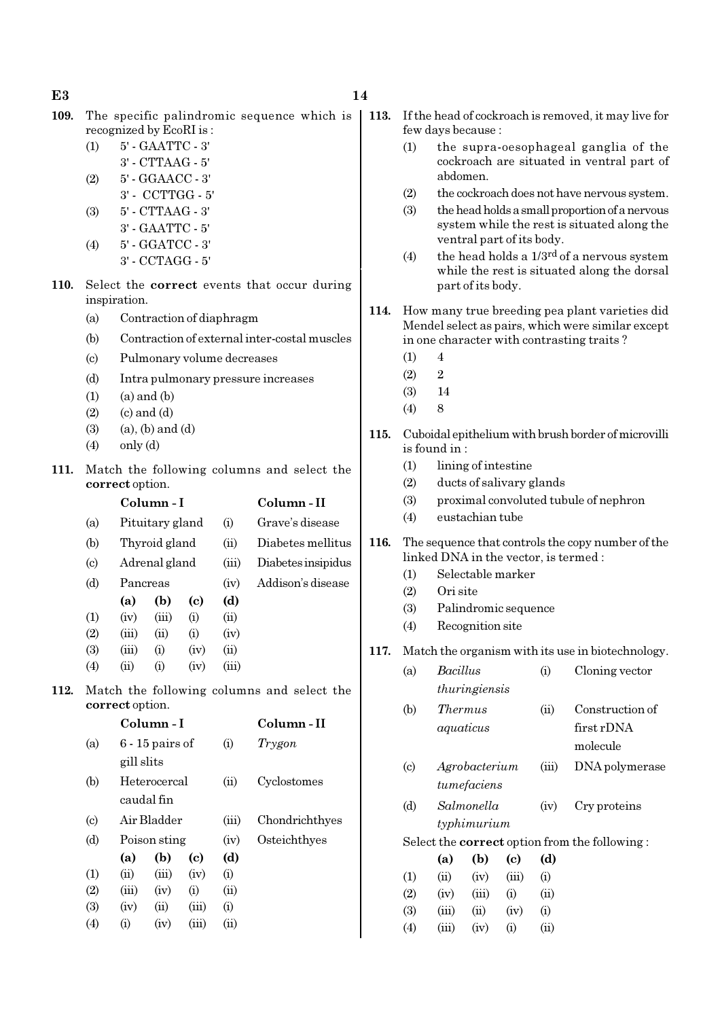$E3$  and  $14$ 

- 109. The specific palindromic sequence which is 113. If the head of cockroach is removed, it may live for recognized by EcoRI is :
	- (1) 5' GAATTC 3' 3' - CTTAAG - 5'
	- (2) 5' GGAACC 3'
	- 3' CCTTGG 5'
	- (3) 5' CTTAAG 3' 3' - GAATTC - 5'
	- (4) 5' GGATCC 3' 3' - CCTAGG - 5'
- 110. Select the correct events that occur during inspiration.
	- (a) Contraction of diaphragm
	- (b) Contraction of external inter-costal muscles
	- (c) Pulmonary volume decreases
	- (d) Intra pulmonary pressure increases
	- $(1)$   $(a)$  and  $(b)$
	- $(2)$   $(c)$  and  $(d)$
	- $(3)$   $(a)$ ,  $(b)$  and  $(d)$
	- $(4)$  only  $(d)$
- 111. Match the following columns and select the correct option.

|                             |                    | Column-I        |      |       | Column-II          |
|-----------------------------|--------------------|-----------------|------|-------|--------------------|
| (a)                         |                    | Pituitary gland |      |       | Grave's disease    |
| (b)                         |                    | Thyroid gland   |      |       | Diabetes mellitus  |
| $\left( \mathrm{c} \right)$ | Adrenal gland      |                 |      | (iii) | Diabetes insipidus |
| (d)                         | Pancreas           |                 |      | (iv)  | Addison's disease  |
|                             | (a)                | (b)             | (c)  | (d)   |                    |
| (1)                         | (iv)               | (iii)           | (i)  | (ii)  |                    |
| (2)                         | (iii)              | (i)             | (i)  | (iv)  |                    |
| (3)                         | (iii)              | (i)             | (iv) | (ii)  |                    |
| (4)                         | $\dot{\mathrm{u}}$ | $\rm (i)$       | (iv) | (iii) |                    |

112. Match the following columns and select the correct option.

|                           |            | Column - I        | Column - II |       |                |
|---------------------------|------------|-------------------|-------------|-------|----------------|
| (a)                       |            | $6 - 15$ pairs of |             | (i)   | Trygon         |
|                           | gill slits |                   |             |       |                |
| (b)                       |            | Heterocercal      |             | (ii)  | Cyclostomes    |
|                           |            | caudal fin        |             |       |                |
| $\left( \text{c} \right)$ |            | Air Bladder       |             | (iii) | Chondrichthyes |
| (d)                       |            | Poison sting      |             |       | Osteichthyes   |
|                           | (a)        | (b)               | (c)         | (d)   |                |
| $\rm(1)$                  | (ii)       | (iii)             | (iv)        | (i)   |                |
| (2)                       | (iii)      | (iv)              | (i)         | (ii)  |                |
| (3)                       | (iv)       | (ii)              | (iii)       | (i)   |                |
| $\left( 4\right)$         | (i)        | (iv)              | (iii)       | (ii)  |                |
|                           |            |                   |             |       |                |

- few days because :
	- (1) the supra-oesophageal ganglia of the cockroach are situated in ventral part of abdomen.
	- (2) the cockroach does not have nervous system.
	- (3) the head holds a small proportion of a nervous system while the rest is situated along the ventral part of its body.
	- (4) the head holds a  $1/3^{rd}$  of a nervous system while the rest is situated along the dorsal part of its body.
- 114. How many true breeding pea plant varieties did Mendel select as pairs, which were similar except in one character with contrasting traits ?
	- $(1) 4$
	- $(2)$  2
	- (3) 14
	- $(4)$  8
- 115. Cuboidal epithelium with brush border of microvilli is found in :
	- (1) lining of intestine
	- (2) ducts of salivary glands
	- (3) proximal convoluted tubule of nephron
	- (4) eustachian tube
- 116. The sequence that controls the copy number of the linked DNA in the vector, is termed :
	- (1) Selectable marker
	- (2) Ori site
	- (3) Palindromic sequence
	- (4) Recognition site
- 117. Match the organism with its use in biotechnology.

| (a) | Bacillus      | (i) | Cloning vector |
|-----|---------------|-----|----------------|
|     | thuringiensis |     |                |
|     |               |     |                |

| (b)                       |     | <i>Thermus</i>         |                            | (ii)  | Construction of                                      |
|---------------------------|-----|------------------------|----------------------------|-------|------------------------------------------------------|
|                           |     | aquaticus              |                            |       | first rDNA                                           |
|                           |     |                        |                            |       | molecule                                             |
| $\left( \text{c} \right)$ |     | Agrobacterium          |                            | (iii) | DNA polymerase                                       |
|                           |     | tumefaciens            |                            |       |                                                      |
| (d)                       |     | Salmonella             |                            | (iv)  | Cry proteins                                         |
|                           |     | typhimurium            |                            |       |                                                      |
|                           |     |                        |                            |       | Select the <b>correct</b> option from the following: |
|                           | (a) | (b)                    | $\left( \mathrm{c}\right)$ | (d)   |                                                      |
| (1)                       |     | $(iii)$ $(iv)$ $(iii)$ |                            | (i)   |                                                      |

| (1) | $\dot{\mathbf{u}}$ | (iv)               | (iii)     | $\rm(i)$       |
|-----|--------------------|--------------------|-----------|----------------|
| (2) | (iv)               | (iii)              | $\rm (i)$ | (ii)           |
| (3) | (iii)              | $\dot{\mathbf{u}}$ | (iv)      | $\rm(i)$       |
| (4) | (iii)              | (iv)               | $\rm (i)$ | $\overline{u}$ |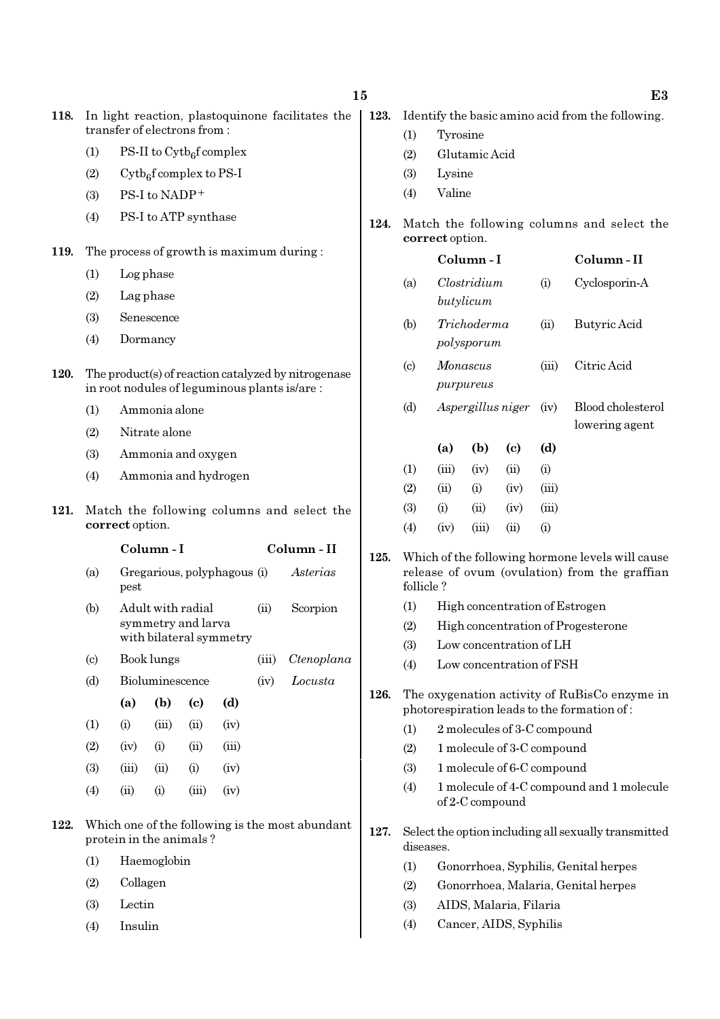| 118. |                                                                            | In light reaction, plastoquinone facilitates the<br>transfer of electrons from:        |                                      |                                       |                             |       |                                                                                                     |
|------|----------------------------------------------------------------------------|----------------------------------------------------------------------------------------|--------------------------------------|---------------------------------------|-----------------------------|-------|-----------------------------------------------------------------------------------------------------|
|      | (1)                                                                        |                                                                                        | PS-II to $\mathrm{Cytb}_6$ f complex |                                       |                             |       |                                                                                                     |
|      | (2)                                                                        |                                                                                        |                                      | $\mathrm{Cytb}_{6}$ f complex to PS-I |                             |       |                                                                                                     |
|      | (3)                                                                        |                                                                                        | PS-I to NADP+                        |                                       |                             |       |                                                                                                     |
|      | (4)                                                                        |                                                                                        |                                      | PS-I to ATP synthase                  |                             |       |                                                                                                     |
| 119. |                                                                            |                                                                                        |                                      |                                       |                             |       | The process of growth is maximum during:                                                            |
|      | (1)                                                                        |                                                                                        | Log phase                            |                                       |                             |       |                                                                                                     |
|      | (2)                                                                        |                                                                                        | Lag phase                            |                                       |                             |       |                                                                                                     |
|      | (3)                                                                        |                                                                                        | Senescence                           |                                       |                             |       |                                                                                                     |
|      | (4)                                                                        |                                                                                        | Dormancy                             |                                       |                             |       |                                                                                                     |
| 120. |                                                                            |                                                                                        |                                      |                                       |                             |       | The product(s) of reaction catalyzed by nitrogenase<br>in root nodules of leguminous plants is/are: |
|      | (1)                                                                        |                                                                                        | Ammonia alone                        |                                       |                             |       |                                                                                                     |
|      | (2)                                                                        |                                                                                        | Nitrate alone                        |                                       |                             |       |                                                                                                     |
|      | (3)                                                                        |                                                                                        |                                      | Ammonia and oxygen                    |                             |       |                                                                                                     |
|      | (4)                                                                        | Ammonia and hydrogen                                                                   |                                      |                                       |                             |       |                                                                                                     |
| 121. |                                                                            | Match the following columns and select the<br>correct option.                          |                                      |                                       |                             |       |                                                                                                     |
|      |                                                                            | Column - I<br>Column - II                                                              |                                      |                                       |                             |       |                                                                                                     |
|      | (a)                                                                        | pest                                                                                   |                                      |                                       | Gregarious, polyphagous (i) |       | Asterias                                                                                            |
|      | (b)                                                                        | Adult with radial<br>(ii)<br>Scorpion<br>symmetry and larva<br>with bilateral symmetry |                                      |                                       |                             |       |                                                                                                     |
|      | $\left( \mathrm{c} \right)$                                                |                                                                                        | Book lungs                           |                                       |                             | (iii) | Ctenoplana                                                                                          |
|      | (d)                                                                        |                                                                                        | Bioluminescence                      |                                       |                             | (iv)  | Locusta                                                                                             |
|      |                                                                            | (a)                                                                                    | (b)                                  | (c)                                   | (d)                         |       |                                                                                                     |
|      | (1)                                                                        | (i)                                                                                    | (iii)                                | (ii)                                  | (iv)                        |       |                                                                                                     |
|      | (2)                                                                        | (iv)                                                                                   | (i)                                  | (ii)                                  | (iii)                       |       |                                                                                                     |
|      | (3)                                                                        | (iii)                                                                                  | (ii)                                 | (i)                                   | (iv)                        |       |                                                                                                     |
|      | (4)                                                                        | (ii)                                                                                   | (i)                                  | (iii)                                 | (iv)                        |       |                                                                                                     |
| 122. | Which one of the following is the most abundant<br>protein in the animals? |                                                                                        |                                      |                                       |                             |       |                                                                                                     |

- (1) Haemoglobin
- (2) Collagen
- (3) Lectin
- (4) Insulin
- 123. Identify the basic amino acid from the following.
	- (1) Tyrosine
	- (2) Glutamic Acid
	- (3) Lysine
	- (4) Valine
- 124. Match the following columns and select the correct option.

|      |                             |                           | Column - I  |                            |       | Column - II                                                                                       |
|------|-----------------------------|---------------------------|-------------|----------------------------|-------|---------------------------------------------------------------------------------------------------|
|      | (a)                         |                           | Clostridium |                            |       | Cyclosporin-A                                                                                     |
|      |                             |                           | butylicum   |                            |       |                                                                                                   |
|      | (b)                         | Trichoderma<br>polysporum |             |                            | (ii)  | Butyric Acid                                                                                      |
|      | $\left( \mathrm{c} \right)$ | Monascus                  |             |                            | (iii) | Citric Acid                                                                                       |
|      |                             |                           | purpureus   |                            |       |                                                                                                   |
|      | (d)                         |                           |             | Aspergillus niger          | (iv)  | Blood cholesterol                                                                                 |
|      |                             |                           |             |                            |       | lowering agent                                                                                    |
|      |                             | (a)                       | (b)         | $\left( \mathrm{e}\right)$ | (d)   |                                                                                                   |
|      | (1)                         | (iii)                     | (iv)        | (ii)                       | (i)   |                                                                                                   |
|      | (2)                         | (ii)                      | (i)         | (iv)                       | (iii) |                                                                                                   |
|      | (3)                         | (i)                       | (ii)        | (iv)                       | (iii) |                                                                                                   |
|      | (4)                         | (iv)                      | (iii)       | (ii)                       | (i)   |                                                                                                   |
| 125. | follicle?                   |                           |             |                            |       | Which of the following hormone levels will cause<br>release of ovum (ovulation) from the graffian |
|      | $\rm(1)$                    |                           |             |                            |       | High concentration of Estrogen                                                                    |

- (2) High concentration of Progesterone
- (3) Low concentration of LH
- (4) Low concentration of FSH
- 126. The oxygenation activity of RuBisCo enzyme in photorespiration leads to the formation of :
	- (1) 2 molecules of 3-C compound
	- (2) 1 molecule of 3-C compound
	- (3) 1 molecule of 6-C compound
	- (4) 1 molecule of 4-C compound and 1 molecule of 2-C compound
- 127. Select the option including all sexually transmitted diseases.
	- (1) Gonorrhoea, Syphilis, Genital herpes
	- (2) Gonorrhoea, Malaria, Genital herpes
	- (3) AIDS, Malaria, Filaria
	- (4) Cancer, AIDS, Syphilis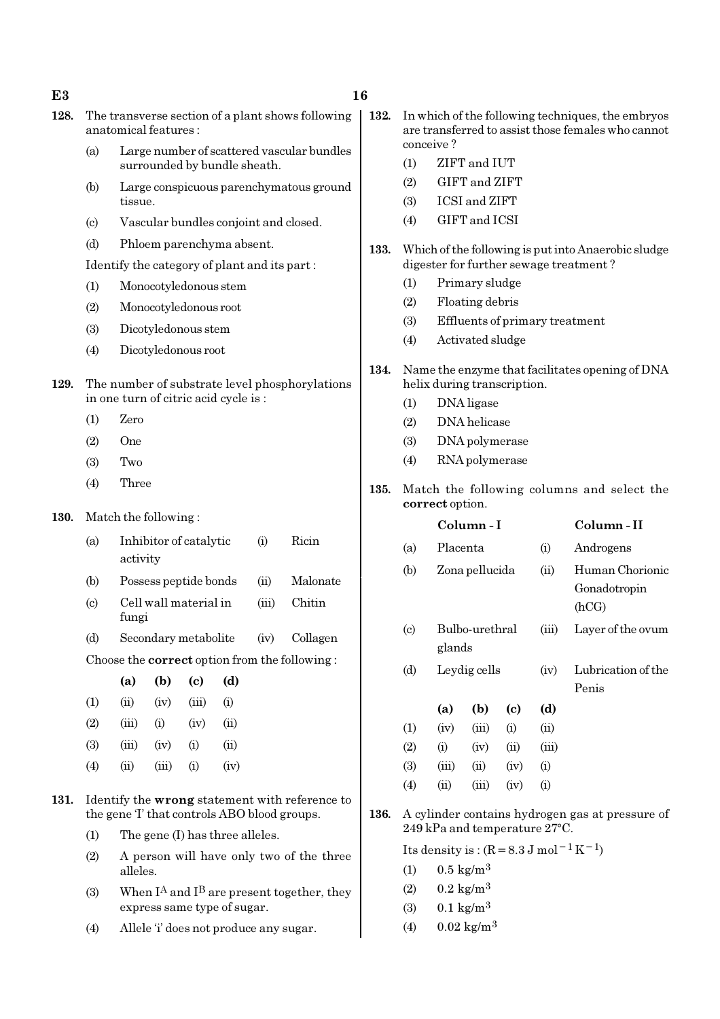- 128. The transverse section of a plant shows following anatomical features :
	- (a) Large number of scattered vascular bundles surrounded by bundle sheath.
	- (b) Large conspicuous parenchymatous ground tissue.
	- (c) Vascular bundles conjoint and closed.
	- (d) Phloem parenchyma absent.

Identify the category of plant and its part :

- (1) Monocotyledonous stem
- (2) Monocotyledonous root
- (3) Dicotyledonous stem
- (4) Dicotyledonous root
- 129. The number of substrate level phosphorylations in one turn of citric acid cycle is :
	- (1) Zero
	- (2) One
	- (3) Two
	- (4) Three
- 130. Match the following :

| (a)       | Inhibitor of catalytic | (i)      | Ricin         |
|-----------|------------------------|----------|---------------|
|           | activity               |          |               |
| (b)       | Possess peptide bonds  | (ii)     | Malonate      |
| $\lambda$ | $\sim$ 11              | $\cdots$ | $\sim$ $\sim$ |

- (c) Cell wall material in (iii) Chitin fungi
- (d) Secondary metabolite (iv) Collagen

Choose the correct option from the following :

|                   | (a)   | (b)   | $\left( \mathrm{e}\right)$ | (d)        |
|-------------------|-------|-------|----------------------------|------------|
| (1)               | (ii)  | (iv)  | (iii)                      | $\rm (i)$  |
| (2)               | (iii) | (i)   | (iv)                       | $\rm (ii)$ |
| (3)               | (iii) | (iv)  | (i)                        | (ii)       |
| $\left( 4\right)$ | (ii)  | (iii) | $\left( 1\right)$          | (iv)       |

- 131. Identify the wrong statement with reference to the gene 'I' that controls ABO blood groups.
	- (1) The gene (I) has three alleles.
	- (2) A person will have only two of the three alleles.
	- (3) When  $I^A$  and  $I^B$  are present together, they express same type of sugar.
	- (4) Allele 'i' does not produce any sugar.
- 132. In which of the following techniques, the embryos are transferred to assist those females who cannot conceive ?
	- (1) ZIFT and IUT
	- (2) GIFT and ZIFT
	- (3) ICSI and ZIFT
	- (4) GIFT and ICSI
- 133. Which of the following is put into Anaerobic sludge digester for further sewage treatment ?
	- (1) Primary sludge
	- (2) Floating debris
	- (3) Effluents of primary treatment
	- (4) Activated sludge
- 134. Name the enzyme that facilitates opening of DNA helix during transcription.
	- (1) DNA ligase
	- (2) DNA helicase
	- (3) DNA polymerase
	- (4) RNA polymerase
- 135. Match the following columns and select the correct option.

|                             |                | Column - I     |          | Column - II |                                          |
|-----------------------------|----------------|----------------|----------|-------------|------------------------------------------|
| (a)                         | Placenta       |                |          | (i)         | Androgens                                |
| (b)                         | Zona pellucida |                |          | (ii)        | Human Chorionic<br>Gonadotropin<br>(hCG) |
| $\left( \mathrm{c} \right)$ | glands         | Bulbo-urethral |          | (iii)       | Layer of the ovum                        |
| (d)                         |                | Leydig cells   |          |             | Lubrication of the<br>Penis              |
|                             | (a)            | (b)            | (c)      | (d)         |                                          |
| $\left(1\right)$            | (iv)           | (iii)          | $\rm(i)$ | (ii)        |                                          |
| (2)                         | (i)            | (iv)           | (ii)     | (iii)       |                                          |
| (3)                         | (iii)          | (ii)           | (iv)     | (i)         |                                          |
| $\left( 4\right)$           | (ii)           | (iii)          | (iv)     | (i)         |                                          |

136. A cylinder contains hydrogen gas at pressure of  $249$  kPa and temperature  $27^{\circ}$ C.

Its density is :  $(R=8.3 J \text{ mol}^{-1} \text{K}^{-1})$ 

- (1)  $0.5 \text{ kg/m}^3$
- (2)  $0.2 \text{ kg/m}^3$
- (3)  $0.1 \text{ kg/m}^3$
- (4)  $0.02 \text{ kg/m}^3$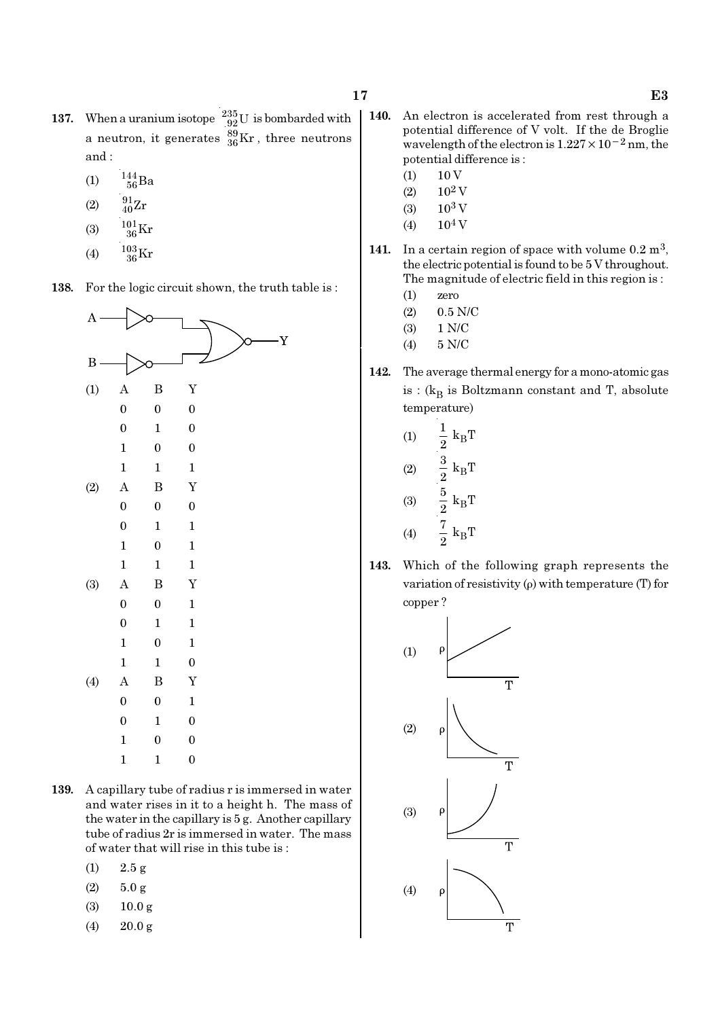- 137. When a uranium isotope  $^{235}_{92}$ U is bombarded with a neutron, it generates  $^{89}_{36}\text{Kr}$  , three neutrons and :
	- (1)  $\frac{144}{56}Ba$
	- (2)  $\frac{91}{40}Zr$
	- (3)  $\frac{101}{36}$ Kr
	-
	- (4)  $\frac{103}{36}$ Kr

138. For the logic circuit shown, the truth table is :



- 139. A capillary tube of radius r is immersed in water and water rises in it to a height h. The mass of the water in the capillary is 5 g. Another capillary tube of radius 2r is immersed in water. The mass of water that will rise in this tube is :
	- $(1)$  2.5 g
	- $(2)$  5.0 g
	- (3) 10.0 g
	- (4) 20.0 g
- 140. An electron is accelerated from rest through a potential difference of V volt. If the de Broglie wavelength of the electron is  $1.227 \times 10^{-2}$  nm, the potential difference is :
	- $(1) 10 V$
	- $(2)$  10<sup>2</sup> V
	- $(3)$  10<sup>3</sup> V
	- $(4)$  10<sup>4</sup> V
- 141. In a certain region of space with volume  $0.2 \text{ m}^3$ , the electric potential is found to be 5 V throughout. The magnitude of electric field in this region is :
	- (1) zero
	- (2) 0.5 N/C
	- (3) 1 N/C
	- (4) 5 N/C
- 142. The average thermal energy for a mono-atomic gas is : ( $\rm{k_{B}}$  is Boltzmann constant and T, absolute temperature)

(1) 
$$
\frac{1}{2} k_B T
$$
  
\n(2)  $\frac{3}{2} k_B T$   
\n(3)  $\frac{5}{2} k_B T$   
\n(4)  $\frac{7}{2} k_B T$ 

143. Which of the following graph represents the variation of resistivity (ρ) with temperature (T) for copper ?

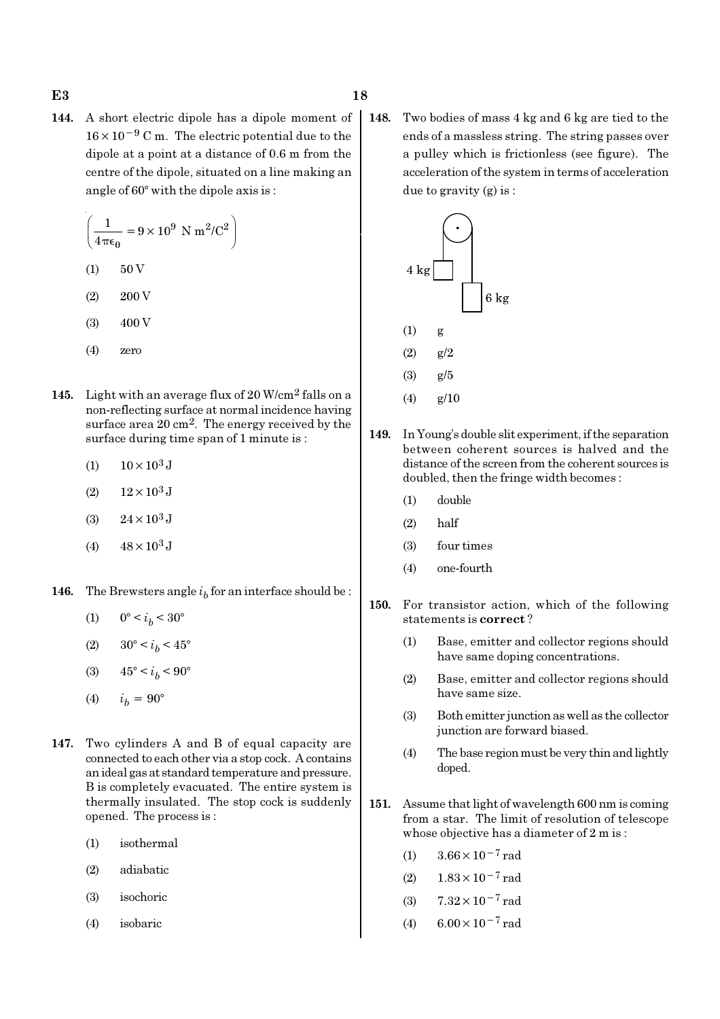144. A short electric dipole has a dipole moment of 16×10−<sup>9</sup> C m. The electric potential due to the dipole at a point at a distance of 0.6 m from the centre of the dipole, situated on a line making an angle of  $60^\circ$  with the dipole axis is:

$$
\left(\frac{1}{4\pi\epsilon_0} = 9 \times 10^9 \text{ N m}^2/\text{C}^2\right)
$$
  
(1) 50 V

- $(2)$  200 V
- $(3)$  400 V
- (4) zero
- 145. Light with an average flux of 20 W/cm2 falls on a non-reflecting surface at normal incidence having surface area 20 cm2. The energy received by the surface during time span of 1 minute is :
	- (1)  $10 \times 10^3$  J
	- (2)  $12 \times 10^3$  J
	- (3)  $24 \times 10^3$  J
	- (4)  $48 \times 10^3$  J
- **146.** The Brewsters angle  $i<sub>b</sub>$  for an interface should be :
	- (1)  $0^{\circ} < i_b < 30^{\circ}$
	- (2)  $30^{\circ} < i_b < 45^{\circ}$
	- (3)  $45^{\circ} < i_b < 90^{\circ}$
	- (4)  $i_h = 90^{\circ}$
- 147. Two cylinders A and B of equal capacity are connected to each other via a stop cock. A contains an ideal gas at standard temperature and pressure. B is completely evacuated. The entire system is thermally insulated. The stop cock is suddenly opened. The process is :
	- (1) isothermal
	- (2) adiabatic
	- (3) isochoric
	- (4) isobaric

148. Two bodies of mass 4 kg and 6 kg are tied to the ends of a massless string. The string passes over a pulley which is frictionless (see figure). The acceleration of the system in terms of acceleration due to gravity (g) is :



- (4) g/10
- 149. In Young's double slit experiment, if the separation between coherent sources is halved and the distance of the screen from the coherent sources is doubled, then the fringe width becomes :
	- (1) double
	- (2) half
	- (3) four times
	- (4) one-fourth
- 150. For transistor action, which of the following statements is correct ?
	- (1) Base, emitter and collector regions should have same doping concentrations.
	- (2) Base, emitter and collector regions should have same size.
	- (3) Both emitter junction as well as the collector junction are forward biased.
	- (4) The base region must be very thin and lightly doped.
- 151. Assume that light of wavelength 600 nm is coming from a star. The limit of resolution of telescope whose objective has a diameter of 2 m is :
	- (1)  $3.66 \times 10^{-7}$  rad
	- (2)  $1.83 \times 10^{-7}$  rad
	- (3)  $7.32 \times 10^{-7}$  rad
	- (4)  $6.00 \times 10^{-7}$  rad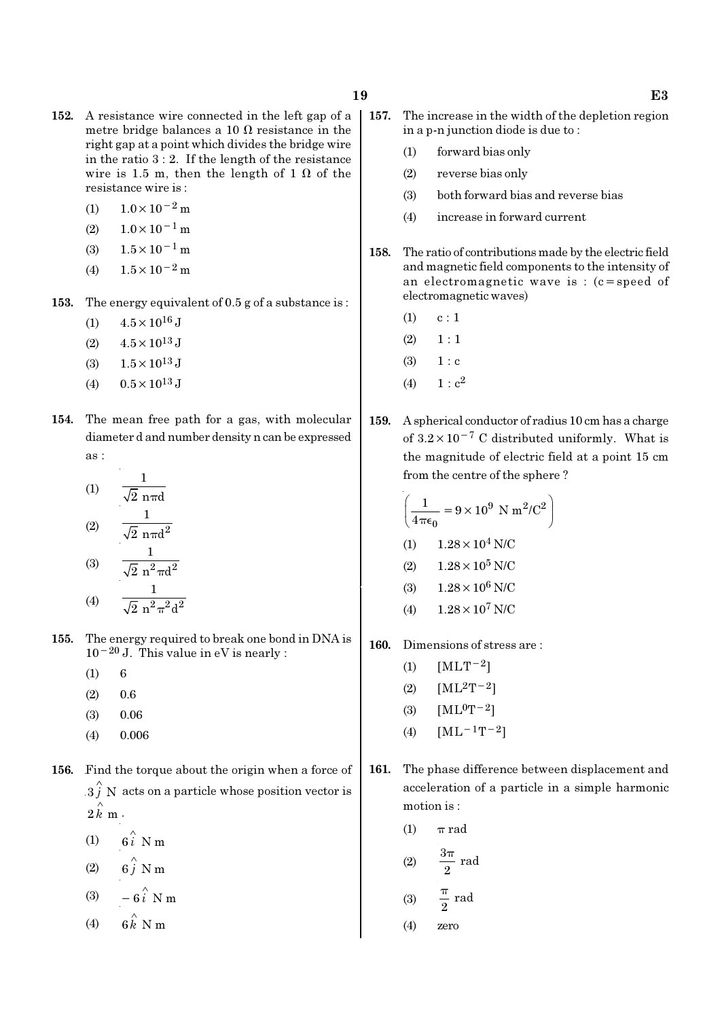- 152. A resistance wire connected in the left gap of a metre bridge balances a 10  $\Omega$  resistance in the right gap at a point which divides the bridge wire in the ratio  $3:2$ . If the length of the resistance wire is 1.5 m, then the length of 1  $\Omega$  of the resistance wire is :
	- (1)  $1.0 \times 10^{-2}$  m
	- $(2)$  1.0×10<sup>-1</sup> m
	- (3)  $1.5 \times 10^{-1}$  m
	- (4)  $1.5 \times 10^{-2}$  m
- 153. The energy equivalent of 0.5 g of a substance is :
	- (1)  $4.5 \times 10^{16}$  J
	- (2)  $4.5 \times 10^{13}$  J
	- (3)  $1.5 \times 10^{13}$  J
	- (4)  $0.5 \times 10^{13}$  J
- 154. The mean free path for a gas, with molecular diameter d and number density n can be expressed as :

(1) 
$$
\frac{1}{\sqrt{2} \text{ n} \pi d}
$$
  
\n(2)  $\frac{1}{\sqrt{2} \text{ n} \pi d^2}$   
\n(3)  $\frac{1}{\sqrt{2} \text{ n}^2 \pi d^2}$   
\n(4)  $\frac{1}{\sqrt{2} \text{ n}^2 \pi^2 d^2}$ 

- 155. The energy required to break one bond in DNA is  $10^{-20}$  J. This value in eV is nearly :
	- $(1) 6$
	- (2) 0.6
	- $(3)$  0.06
	- (4) 0.006
- 156. Find the torque about the origin when a force of  $\overset{\wedge}{3}$  N acts on a particle whose position vector is  $2 \hat{k}$  m.
	- (1)  $6i \stackrel{\wedge}{\smash{\wedge}} Nm$ (2)  $6\hat{j}$  N m
	-
	- (3)  $-6\hat{i}$  N m
	- (4)  $6 \hat{k}$  N m
- - 157. The increase in the width of the depletion region in a p-n junction diode is due to :
		- (1) forward bias only
		- (2) reverse bias only
		- (3) both forward bias and reverse bias
		- (4) increase in forward current
	- 158. The ratio of contributions made by the electric field and magnetic field components to the intensity of an electromagnetic wave is : (c=speed of electromagnetic waves)
		- $(1)$  c : 1
		- $(2) \quad 1 : 1$
		- $(3) 1 : c$
		- (4)  $1 : c^2$
	- 159. A spherical conductor of radius 10 cm has a charge of  $3.2 \times 10^{-7}$  C distributed uniformly. What is the magnitude of electric field at a point 15 cm from the centre of the sphere ?

$$
\left(\frac{1}{4\pi\epsilon_0} = 9 \times 10^9 \text{ N m}^2/\text{C}^2\right)
$$
  
(1) 1.28 × 10<sup>4</sup> N/C  
(2) 1.28 × 10<sup>5</sup> N/C  
(3) 1.28 × 10<sup>6</sup> N/C  
(4) 1.28 × 10<sup>7</sup> N/C

- 160. Dimensions of stress are :
	- (1)  $[MLT^{-2}]$
	- (2)  $[ML^2T^{-2}]$
	- (3)  $[ML^0T^{-2}]$
	- (4)  $[ML^{-1}T^{-2}]$
- 161. The phase difference between displacement and acceleration of a particle in a simple harmonic motion is :
	- (1)  $\pi$  rad

(2) 
$$
\frac{3\pi}{2} \text{ rad}
$$

$$
\begin{array}{rcl}\n\text{(3)} & \frac{0}{2} \text{ rad} \\
\text{(4)} & \text{zero}\n\end{array}
$$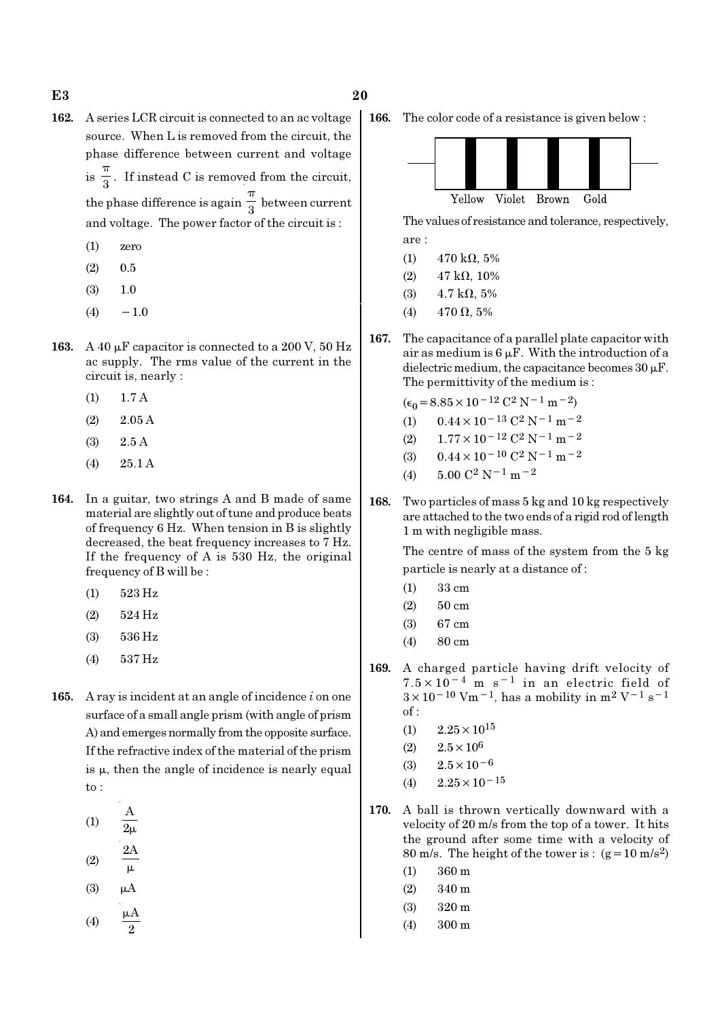- 162. A series LCR circuit is connected to an ac voltage source. When L is removed from the circuit, the phase difference between current and voltage  $is \frac{1}{3}$ π . If instead C is removed from the circuit, the phase difference is again  $\frac{1}{3}$ π between current and voltage. The power factor of the circuit is :
	- (1) zero
	- $(2)$  0.5
	- (3) 1.0
	- $(4) -1.0$
- 163. A 40  $\mu$ F capacitor is connected to a 200 V, 50 Hz ac supply. The rms value of the current in the circuit is, nearly :
	- (1) 1.7 A
	- $(2)$  2.05 A
	- (3) 2.5 A
	- (4) 25.1 A
- 164. In a guitar, two strings A and B made of same material are slightly out of tune and produce beats of frequency 6 Hz. When tension in B is slightly decreased, the beat frequency increases to 7 Hz. If the frequency of A is 530 Hz, the original frequency of B will be :
	- (1) 523 Hz
	- (2) 524 Hz
	- (3) 536 Hz
	- (4) 537 Hz
- 165. A ray is incident at an angle of incidence  $i$  on one surface of a small angle prism (with angle of prism A) and emerges normally from the opposite surface. If the refractive index of the material of the prism is  $\mu$ , then the angle of incidence is nearly equal to :
	- (1) A  $2\mu$ 2A
	- (2)  $\mu$
	- $(3)$
	- $(4)$ 2 µ

166. The color code of a resistance is given below :



The values of resistance and tolerance, respectively, are :

- (1)  $470 \text{ k}\Omega, 5\%$
- (2)  $47 \text{ k}\Omega$ , 10%
- (3)  $4.7 \text{ k}\Omega, 5\%$
- (4) 470  $\Omega$ , 5%
- 167. The capacitance of a parallel plate capacitor with air as medium is  $6 \mu$ F. With the introduction of a dielectric medium, the capacitance becomes  $30 \mu$ F. The permittivity of the medium is :

 $(\epsilon_0 = 8.85 \times 10^{-12} \text{ C}^2 \text{ N}^{-1} \text{ m}^{-2})$ 

- (1)  $0.44 \times 10^{-13}$  C<sup>2</sup> N<sup>-1</sup> m<sup>-2</sup>
- (2)  $1.77 \times 10^{-12} \text{ C}^2 \text{ N}^{-1} \text{ m}^{-2}$
- (3)  $0.44 \times 10^{-10}$  C<sup>2</sup> N<sup>-1</sup> m<sup>-2</sup>
- (4)  $5.00 \text{ C}^2 \text{ N}^{-1} \text{ m}^{-2}$
- 168. Two particles of mass 5 kg and 10 kg respectively are attached to the two ends of a rigid rod of length 1 m with negligible mass.

The centre of mass of the system from the 5 kg particle is nearly at a distance of :

- (1) 33 cm
- (2) 50 cm
- (3) 67 cm
- (4) 80 cm
- 169. A charged particle having drift velocity of  $7.5 \times 10^{-4}$  m s<sup>-1</sup> in an electric field of  $3 \times 10^{-10}$  Vm<sup>-1</sup>, has a mobility in m<sup>2</sup> V<sup>-1</sup> s<sup>-1</sup> of :
	- $(1)$  2.25  $\times$  10<sup>15</sup>
	- (2)  $2.5 \times 10^6$
	- (3)  $2.5 \times 10^{-6}$
	- $(4)$  2.25×10<sup>-15</sup>
- 170. A ball is thrown vertically downward with a velocity of 20 m/s from the top of a tower. It hits the ground after some time with a velocity of 80 m/s. The height of the tower is :  $(g=10 \text{ m/s}^2)$ 
	- (1) 360 m
	- (2) 340 m
	- (3) 320 m
	- (4) 300 m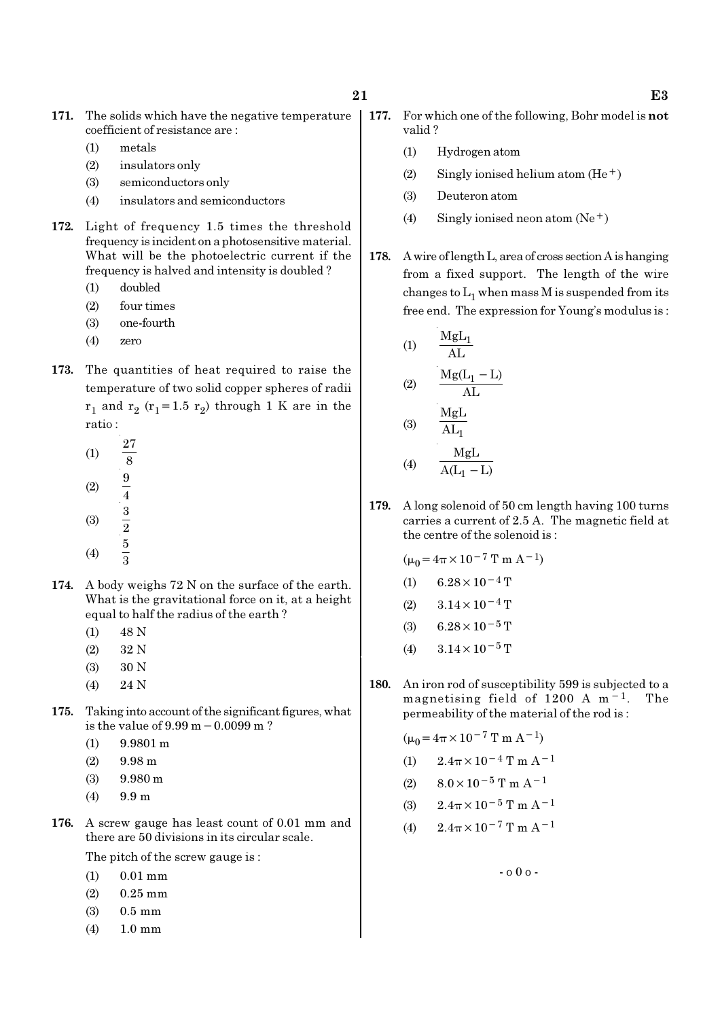- 171. The solids which have the negative temperature coefficient of resistance are :
	- (1) metals
	- (2) insulators only
	- (3) semiconductors only
	- (4) insulators and semiconductors
- 172. Light of frequency 1.5 times the threshold frequency is incident on a photosensitive material. What will be the photoelectric current if the frequency is halved and intensity is doubled ?
	- (1) doubled
	- (2) four times
	- (3) one-fourth
	- (4) zero
- 173. The quantities of heat required to raise the temperature of two solid copper spheres of radii  $r_1$  and  $r_2$  ( $r_1$ =1.5  $r_2$ ) through 1 K are in the ratio :
	- (1) 27 8 (2)  $\frac{9}{4}$
	- (3)  $\frac{3}{2}$
	- 5
	- (4) 3
- 174. A body weighs 72 N on the surface of the earth. What is the gravitational force on it, at a height equal to half the radius of the earth ?
	- (1) 48 N
	- (2) 32 N
	- (3) 30 N
	- (4) 24 N
- 175. Taking into account of the significant figures, what is the value of 9.99 m−0.0099 m ?
	- (1) 9.9801 m
	- $(2)$  9.98 m
	- (3) 9.980 m
	- (4) 9.9 m
- 176. A screw gauge has least count of 0.01 mm and there are 50 divisions in its circular scale.

The pitch of the screw gauge is :

- (1) 0.01 mm
- (2) 0.25 mm
- (3) 0.5 mm
- (4) 1.0 mm
- 177. For which one of the following, Bohr model is not valid ?
	- (1) Hydrogen atom
	- (2) Singly ionised helium atom  $(He<sup>+</sup>)$
	- (3) Deuteron atom
	- (4) Singly ionised neon atom  $(Ne^+)$
	- 178. A wire of length L, area of cross section A is hanging from a fixed support. The length of the wire changes to  $\mathrm{L}_1$  when mass M is suspended from its free end. The expression for Young's modulus is :

(1) 
$$
\frac{MgL_1}{AL}
$$
  
(2) 
$$
\frac{Mg(L_1 - L)}{AL}
$$
  
(3) 
$$
\frac{MgL}{AL_1}
$$

$$
(4) \qquad \frac{MgL}{A(L_1 - L)}
$$

179. A long solenoid of 50 cm length having 100 turns carries a current of 2.5 A. The magnetic field at the centre of the solenoid is :

$$
(\mu_0 = 4\pi \times 10^{-7} \text{ T m A}^{-1})
$$
  
(1) 6.28 × 10<sup>-4</sup> T  
(2) 3.14 × 10<sup>-4</sup> T

- (3) 6.28  $\times$  10<sup>-5</sup> T
- (4)  $3.14 \times 10^{-5}$  T
- 180. An iron rod of susceptibility 599 is subjected to a magnetising field of 1200 A m−1. The permeability of the material of the rod is :

$$
(\mu_0 = 4\pi \times 10^{-7} \text{ T m A}^{-1})
$$

(1) 
$$
2.4\pi \times 10^{-4}
$$
 T m A<sup>-1</sup>

(2) 
$$
8.0 \times 10^{-5}
$$
 T m A<sup>-1</sup>

(3) 
$$
2.4\pi \times 10^{-5}
$$
 T m A<sup>-1</sup>

(4) 
$$
2.4\pi \times 10^{-7}
$$
 T m A<sup>-1</sup>

- o 0 o -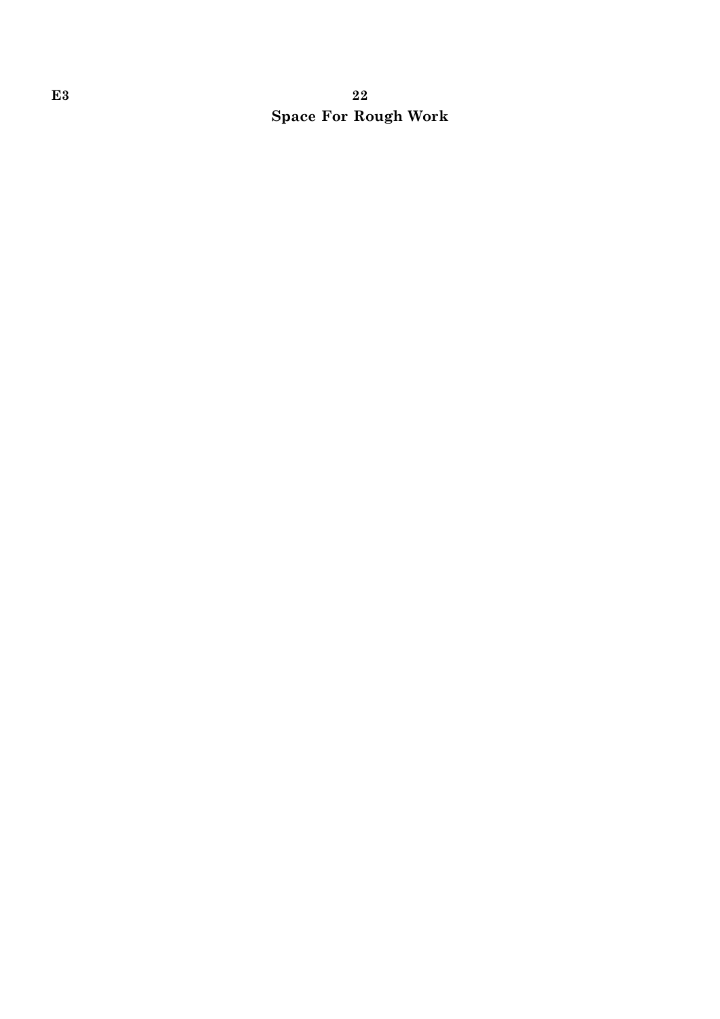# E3 22 Space For Rough Work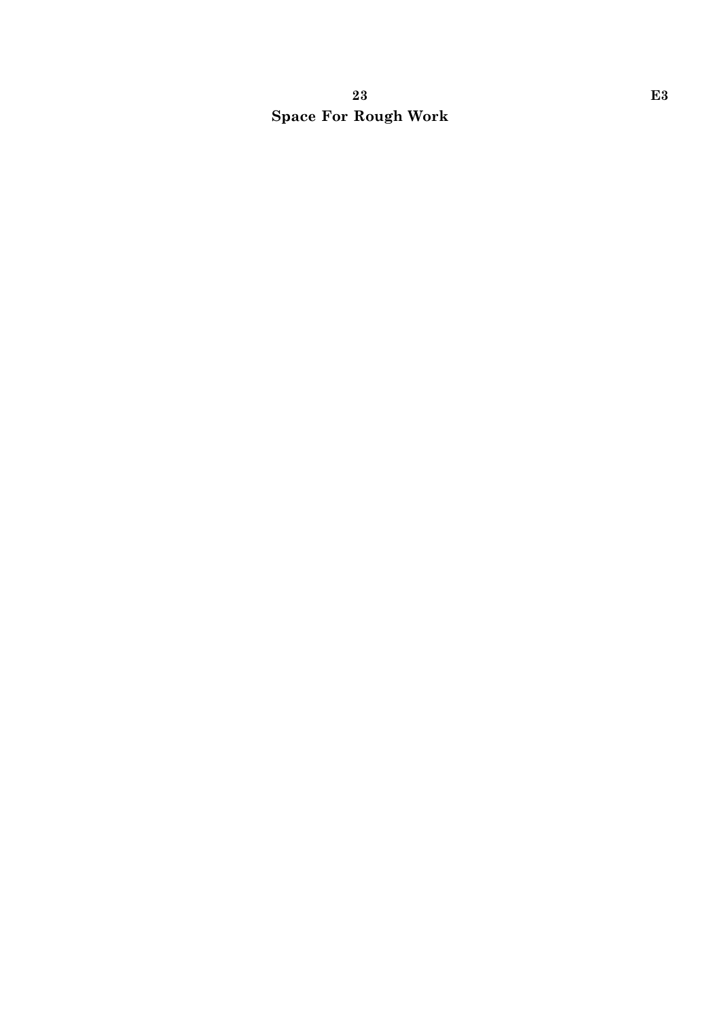# 23 E3 Space For Rough Work